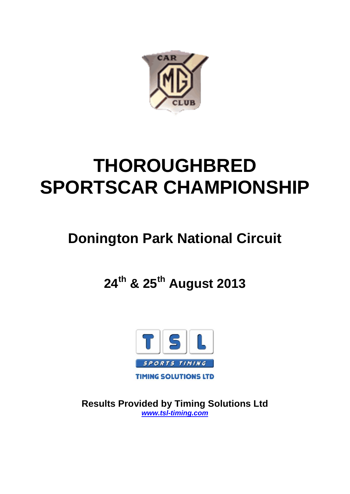

# **THOROUGHBRED SPORTSCAR CHAMPIONSHIP**

## **Donington Park National Circuit**

## **24th & 25th August 2013**



**Results Provided by Timing Solutions Ltd** *www.tsl-timing.com*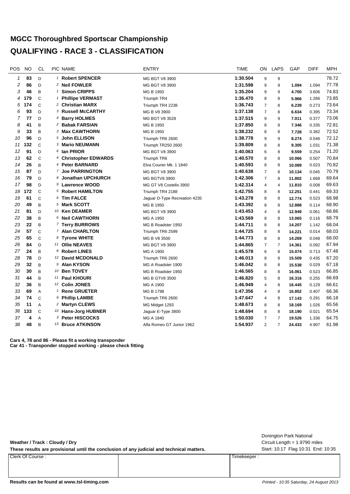### **MGCC Thoroughbred Sportscar Championship QUALIFYING - RACE 3 - CLASSIFICATION**

| POS          | <b>NO</b> | <b>CL</b>     | PIC NAME                      | <b>ENTRY</b>                  | <b>TIME</b> | ON.            | <b>LAPS</b>    | GAP    | <b>DIFF</b> | <b>MPH</b> |
|--------------|-----------|---------------|-------------------------------|-------------------------------|-------------|----------------|----------------|--------|-------------|------------|
| $\mathbf{1}$ | 83        | D             | <sup>1</sup> Robert SPENCER   | MG BGT V8 3900                | 1:30.504    | 9              | 9              |        |             | 78.72      |
| 2            | 86        | D.            | <sup>2</sup> Neil FOWLER      | MG BGT V8 3900                | 1:31.598    | 9              | 9              | 1.094  | 1.094       | 77.78      |
| 3            | 46        | B             | <sup>1</sup> Simon CRIPPS     | MG B 1950                     | 1:35.204    | 9              | 9              | 4.700  | 3.606       | 74.83      |
| 4            | 179       | $\mathsf{C}$  | <sup>1</sup> Phillipe VERMAST | Triumph TR4                   | 1:36.470    | 8              | 8              | 5.966  | 1.266       | 73.85      |
| 5            | 174       | $\mathsf{C}$  | <sup>2</sup> Christian MARX   | Triumph TR4 2238              | 1:36.743    | $\overline{7}$ | 8              | 6.239  | 0.273       | 73.64      |
| 6            | 93        | D             | <sup>3</sup> Russell McCARTHY | MG B V8 3900                  | 1:37.138    | $\overline{7}$ | 8              | 6.634  | 0.395       | 73.34      |
| 7            | 77        | $\mathsf{D}$  | 4 Barry HOLMES                | MG BGT V8 3528                | 1:37.515    | 9              | 9              | 7.011  | 0.377       | 73.06      |
| 8            | 41        | B             | <sup>2</sup> Babak FARSIAN    | MG B 1950                     | 1:37.850    | 8              | 8              | 7.346  | 0.335       | 72.81      |
| 9            | 33        | B             | 3 Max CAWTHORN                | MG B 1950                     | 1:38.232    | 8              | 8              | 7.728  | 0.382       | 72.52      |
| 10           | 96        | D             | 5 John ELLISON                | Triumph TR6 2600              | 1:38.778    | 9              | 9              | 8.274  | 0.546       | 72.12      |
| 11           | 132       | $\mathsf{C}$  | 3 Mario NEUMANN               | Triumph TR250 2600            | 1:39.809    | 8              | 8              | 9.305  | 1.031       | 71.38      |
| 12           | 91        | D             | 6 Ian PRIOR                   | MG BGT V8 3900                | 1:40.063    | 6              | 8              | 9.559  | 0.254       | 71.20      |
| 13           | 62        | $\mathsf{C}$  | 4 Christopher EDWARDS         | Triumph TR6                   | 1:40.570    | 8              | 8              | 10.066 | 0.507       | 70.84      |
| 14           | 26        | B             | 4 Peter BARNARD               | Elva Courier Mk. 1 1840       | 1:40.593    | 8              | 8              | 10.089 | 0.023       | 70.82      |
| 15           | 87        | D             | 7 Joe PARRINGTON              | MG BGT V8 3900                | 1:40.638    | $\overline{7}$ | 8              | 10.134 | 0.045       | 70.79      |
| 16           | 79        | D             | 8 Jonathan UPCHURCH           | <b>MG BGTV8 3900</b>          | 1:42.306    | $\overline{7}$ | 8              | 11.802 | 1.668       | 69.64      |
| 17           | 98        | D             | 9 Lawrence WOOD               | MG GT V8 Costello 3900        | 1:42.314    | 4              | $\overline{4}$ | 11.810 | 0.008       | 69.63      |
| 18           | 172       | $\mathcal{C}$ | 5 Robert HAMILTON             | Triumph TR4 2188              | 1:42.755    | 8              | 8              | 12.251 | 0.441       | 69.33      |
| 19           | 61        | $\mathsf{C}$  | 6 Tim FALCE                   | Jaguar D-Type Recreation 4235 | 1:43.278    | 8              | 8              | 12.774 | 0.523       | 68.98      |
| 20           | 49        | B             | 5 Mark SCOTT                  | MG B 1950                     | 1:43.392    | 8              | 8              | 12.888 | 0.114       | 68.90      |
| 21           | 81        | D             | 10 Ken DEAMER                 | MG BGT V8 3900                | 1:43.453    | $\overline{4}$ | 8              | 12.949 | 0.061       | 68.86      |
| 22           | 38        | B             | 6 Neil CAWTHORN               | MG A 1950                     | 1:43.569    | 8              | 8              | 13.065 | 0.116       | 68.79      |
| 23           | 22        | B             | 7 Terry BURROWS               | MG B Roadster 1950            | 1:44.711    | 8              | 8              | 14.207 | 1.142       | 68.04      |
| 24           | 57        | $\mathsf{C}$  | 7 Alan CHARLTON               | Triumph TR6 2599              | 1:44.725    | 8              | 8              | 14.221 | 0.014       | 68.03      |
| 25           | 65        | $\mathsf C$   | 8 Tyrone WHITE                | MG B V8 3500                  | 1:44.773    | 8              | 8              | 14.269 | 0.048       | 68.00      |
| 26           | 84        | D             | <sup>11</sup> Ollie NEAVES    | MG BGT V8 3900                | 1:44.865    | $\overline{7}$ | $\overline{7}$ | 14.361 | 0.092       | 67.94      |
| 27           | 24        | B             | 8 Robert LINES                | MG A 1900                     | 1:45.578    | 6              | 8              | 15.074 | 0.713       | 67.48      |
| 28           | 78        | D             | 12 David MCDONALD             | Triumph TR6 2600              | 1:46.013    | 8              | 8              | 15.509 | 0.435       | 67.20      |
| 29           | 32        | B             | 9 Alan KYSON                  | MG A Roadster 1900            | 1:46.042    | 8              | 8              | 15.538 | 0.029       | 67.18      |
| 30           | 30        | B             | 10 Ben TOVEY                  | MG B Roadster 1950            | 1:46.565    | 8              | 8              | 16.061 | 0.523       | 66.85      |
| 31           | 44        | B             | 11 Paul KHOURI                | <b>MG B GTV8 3500</b>         | 1:46.820    | 5              | 8              | 16.316 | 0.255       | 66.69      |
| 32           | 36        | B             | <sup>12</sup> Colin JONES     | MG A 1900                     | 1:46.949    | $\overline{4}$ | 8              | 16.445 | 0.129       | 66.61      |
| 33           | 69        | A             | <b>Rene GRUETER</b><br>1      | MG B 1798                     | 1:47.356    | 4              | 8              | 16.852 | 0.407       | 66.36      |
| 34           | 74        | $\mathsf{C}$  | 9 Phillip LAMBE               | Triumph TR6 2600              | 1:47.647    | 4              | 8              | 17.143 | 0.291       | 66.18      |
| 35           | 11        | A             | 2 Martyn CLEWS                | MG Midget 1293                | 1:48.673    | 8              | 8              | 18.169 | 1.026       | 65.56      |
| 36           | 133       | $\mathcal{C}$ | 10 Hans-Jorg HUBNER           | Jaguar E-Type 3800            | 1:48.694    | 8              | 8              | 18.190 | 0.021       | 65.54      |
| 37           | 4         | A             | 3 Peter HISCOCKS              | MG A 1840                     | 1:50.030    | $\overline{7}$ | $\overline{7}$ | 19.526 | 1.336       | 64.75      |
| 38           | 48        | B             | 13 Bruce ATKINSON             | Alfa Romeo GT Junior 1962     | 1:54.937    | $\overline{2}$ | $\overline{7}$ | 24.433 | 4.907       | 61.98      |
|              |           |               |                               |                               |             |                |                |        |             |            |

**Cars 4, 78 and 86 - Please fit a working transponder Car 41 - Transponder stopped working - please check fitting**

#### **Weather / Track : Cloudy / Dry** These results are provisional until the conclusion of any judicial and technical matters. Start: 10:17 Flag 10:31 End: 10:35 Circuit Length = 1.9790 miles Donington Park National Clerk Of Course : Timekeeper :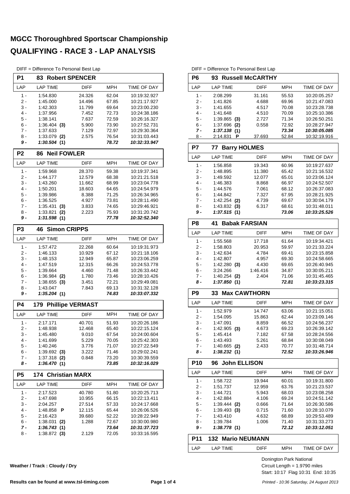DIFF = Difference To Personal Best Lap

| P1             | <b>Robert SPENCER</b><br>83   |                         |                |                              |
|----------------|-------------------------------|-------------------------|----------------|------------------------------|
| LAP            | <b>LAP TIME</b>               | <b>DIFF</b>             | MPH            | TIME OF DAY                  |
| $1 -$          | 1:54.830                      | 24.326                  | 62.04          | 10:19:32.927                 |
| 2 -            | 1:45.000                      | 14.496                  | 67.85          | 10:21:17.927                 |
| 3 -            | 1:42.303                      | 11.799                  | 69.64          | 10:23:00.230                 |
| 4 -            | 1:37.956                      | 7.452                   | 72.73          | 10:24:38.186                 |
| $5 -$          | 1:38.141                      | 7.637                   | 72.59          | 10:26:16.327                 |
| 6 -<br>$7 -$   | $1:36.404$ (3)                | 5.900                   | 73.90          | 10:27:52.731                 |
| 8 -            | 1:37.633                      | 7.129                   | 72.97          | 10:29:30.364<br>10:31:03.443 |
| 9 -            | $1:33.079$ (2)<br>1:30.504(1) | 2.575                   | 76.54<br>78.72 | 10:32:33.947                 |
| P <sub>2</sub> | <b>Neil FOWLER</b><br>86      |                         |                |                              |
| LAP            | <b>LAP TIME</b>               | <b>DIFF</b>             | <b>MPH</b>     | TIME OF DAY                  |
|                |                               |                         |                |                              |
| $1 -$          | 1:59.968                      | 28.370                  | 59.38          | 10:19:37.341                 |
| 2 -<br>3 -     | 1:44.177                      | 12.579<br>11.662        | 68.38          | 10:21:21.518<br>10:23:04.778 |
| $4 -$          | 1:43.260<br>1:50.201          | 18.603                  | 68.99<br>64.65 | 10:24:54.979                 |
| 5 -            | 1:39.986                      | 8.388                   | 71.25          | 10:26:34.965                 |
| 6 -            | 1:36.525                      | 4.927                   | 73.81          | 10:28:11.490                 |
| $7 -$          | 1:35.431<br>(3)               | 3.833                   | 74.65          | 10:29:46.921                 |
| $8 -$          | 1:33.821<br>(2)               | 2.223                   | 75.93          | 10:31:20.742                 |
| 9 -            | 1:31.598(1)                   |                         | 77.78          | 10:32:52.340                 |
| P <sub>3</sub> | <b>Simon CRIPPS</b><br>46     |                         |                |                              |
| LAP            | <b>LAP TIME</b>               | <b>DIFF</b>             | <b>MPH</b>     | TIME OF DAY                  |
| $1 -$          | 1:57.472                      | 22.268                  | 60.64          | 10:19:31.973                 |
| 2 -            | 1:46.133                      | 10.929                  | 67.12          | 10:21:18.106                 |
| 3 -            | 1:48.153                      | 12.949                  | 65.87          | 10:23:06.259                 |
| $4 -$          | 1:47.519                      | 12.315                  | 66.26          | 10:24:53.778                 |
| $5 -$          | 1:39.664                      | 4.460                   | 71.48          | 10:26:33.442                 |
| 6 -            | 1:36.984<br>(2)               | 1.780                   | 73.46          | 10:28:10.426                 |
| $7 -$          | 1:38.655<br>(3)               | 3.451                   | 72.21          | 10:29:49.081                 |
| 8 -<br>9 -     | 1:43.047<br>1:35.204(1)       | 7.843                   | 69.13<br>74.83 | 10:31:32.128<br>10:33:07.332 |
|                |                               |                         |                |                              |
| <b>P4</b>      | 179                           | <b>Phillipe VERMAST</b> |                |                              |
| LAP            | <b>LAP TIME</b>               | <b>DIFF</b>             | <b>MPH</b>     | TIME OF DAY                  |
| 1 -            | 2:17.171                      | 40.701                  | 51.93          | 10:20:26.186                 |
| 2 -            | 1:48.938                      | 12.468                  | 65.40          | 10:22:15.124                 |
| 3 -            | 1:45.480                      | 9.010                   | 67.54          | 10:24:00.604                 |
| 4 -            | 1:41.699                      | 5.229                   | 70.05          | 10:25:42.303                 |
| 5 -            | 1:40.246                      | 3.776                   | 71.07          | 10:27:22.549                 |
| 6 -            | $1:39.692$ (3)                | 3.222                   | 71.46          | 10:29:02.241                 |
| 7 -<br>8 -     | $1:37.318$ (2)<br>1:36.470(1) | 0.848                   | 73.20<br>73.85 | 10:30:39.559<br>10:32:16.029 |
| P5             | <b>Christian MARX</b><br>174  |                         |                |                              |
| LAP            | <b>LAP TIME</b>               | DIFF                    | MPH            | TIME OF DAY                  |
| 1 -            | 2:17.523                      | 40.780                  | 51.80          | 10:20:25.713                 |
| $2 -$          | 1:47.698                      | 10.955                  | 66.15          | 10:22:13.411                 |
| 3 -            | 2:04.257                      | 27.514                  | 57.33          | 10:24:17.668                 |
| 4 -            | 1:48.858<br>P                 | 12.115                  | 65.44          | 10:26:06.526                 |
| 5 -            | 2:16.423                      | 39.680                  | 52.22          | 10:28:22.949                 |
| 6 -            | 1:38.031<br>(2)               | 1.288                   | 72.67          | 10:30:00.980                 |
| 7 -            | 1:36.743(1)                   |                         | 73.64          | 10:31:37.723                 |
| 8 -            | $1:38.872$ (3)                | 2.129                   | 72.05          | 10:33:16.595                 |
|                |                               |                         |                |                              |

| DIFF = Difference To Personal Best Lap |  |  |
|----------------------------------------|--|--|
|----------------------------------------|--|--|

 $\overline{a}$ 

| P <sub>6</sub>  | 93 Russell McCARTHY         |             |                |                              |
|-----------------|-----------------------------|-------------|----------------|------------------------------|
| LAP             | <b>LAP TIME</b>             | <b>DIFF</b> | MPH            | TIME OF DAY                  |
| $1 -$           | 2:08.299                    | 31.161      | 55.53          | 10:20:05.257                 |
| $2 -$           | 1:41.826                    | 4.688       | 69.96          | 10:21:47.083                 |
| $3 -$           | 1:41.655                    | 4.517       | 70.08          | 10:23:28.738                 |
| $4 -$           | 1:41.648                    | 4.510       | 70.09          | 10:25:10.386                 |
| 5 -             | 1:39.865<br>(3)             | 2.727       | 71.34          | 10:26:50.251                 |
| 6 -             | 1:37.696<br>(2)             | 0.558       | 72.92          | 10:28:27.947                 |
| 7 -             | 1:37.138(1)                 |             | 73.34          | 10:30:05.085                 |
| 8 -             | 2:14.831<br>Р               | 37.693      | 52.84          | 10:32:19.916                 |
| P7              | <b>Barry HOLMES</b><br>77   |             |                |                              |
| LAP             | <b>LAP TIME</b>             | <b>DIFF</b> | <b>MPH</b>     | TIME OF DAY                  |
| 1 -             | 1:56.858                    | 19.343      | 60.96          | 10:19:27.637                 |
| $2 -$           | 1:48.895                    | 11.380      | 65.42          | 10:21:16.532                 |
| $3 -$           | 1:49.592                    | 12.077      | 65.01          | 10:23:06.124                 |
| $4 -$           | 1:46.383                    | 8.868       | 66.97          | 10:24:52.507                 |
| 5 -             | 1:44.576                    | 7.061       | 68.12          | 10:26:37.083                 |
| 6 -             | 1:44.842                    | 7.327       | 67.95          | 10:28:21.925                 |
| $7 -$           | 1:42.254<br>(2)             | 4.739       | 69.67          | 10:30:04.179                 |
| 8 -             | 1:43.832<br>(3)             | 6.317       | 68.61          | 10:31:48.011                 |
| 9 -             | 1:37.515(1)                 |             | 73.06          | 10:33:25.526                 |
| P <sub>8</sub>  | <b>Babak FARSIAN</b><br>41  |             |                |                              |
| LAP             | <b>LAP TIME</b>             | <b>DIFF</b> | <b>MPH</b>     | TIME OF DAY                  |
| 1 -             | 1:55.568                    | 17.718      | 61.64          | 10:19:34.421                 |
| $2-$            | 1:58.803                    | 20.953      | 59.97          | 10:21:33.224                 |
| 3 -             | 1:42.634                    | 4.784       | 69.41          | 10:23:15.858                 |
| $4 -$           | 1:42.807                    | 4.957       | 69.30          | 10:24:58.665                 |
| 5 -             | 1:42.280<br>(3)             | 4.430       | 69.65          | 10:26:40.945                 |
| 6 -             | 3:24.266                    | 1:46.416    | 34.87          | 10:30:05.211                 |
| 7 -             | 1:40.254                    | 2.404       | 71.06          | 10:31:45.465                 |
| 8 -             | (2)<br>1:37.850(1)          |             | 72.81          | 10:33:23.315                 |
| P <sub>9</sub>  |                             |             |                |                              |
|                 | <b>Max CAWTHORN</b><br>33   |             |                |                              |
| LAP             | <b>LAP TIME</b>             | <b>DIFF</b> | MPH            | TIME OF DAY                  |
|                 |                             |             |                |                              |
| 1 -             | 1:52.979                    | 14.747      | 63.06          | 10:21:15.051                 |
| 2 -             | 1:54.095                    | 15.863      | 62.44          |                              |
| 3 -             | 1:47.091                    | 8.859       | 66.52          | 10:24:56.237                 |
| 4 -             | $1:42.905$ (3)              | 4.673       | 69.23          | 10:23:09.146<br>10:26:39.142 |
| 5 -             | 1:45.414                    | 7.182       | 67.58          | 10:28:24.556                 |
| 6 -             | 1:43.493                    | 5.261       | 68.84          | 10:30:08.049                 |
| $7 -$<br>8 -    | 1:40.665 (2)<br>1:38.232(1) | 2.433       | 70.77<br>72.52 | 10:31:48.714<br>10:33:26.946 |
| P <sub>10</sub> | <b>John ELLISON</b><br>96   |             |                |                              |
| LAP             | <b>LAP TIME</b>             | DIFF        | <b>MPH</b>     | TIME OF DAY                  |
|                 |                             |             |                |                              |
| $1 -$           | 1:58.722                    | 19.944      | 60.01          | 10:19:31.800                 |
| 2 -             | 1:51.737                    | 12.959      | 63.76          | 10:21:23.537                 |
| 3 -             | 1:44.721                    | 5.943       | 68.03          | 10:23:08.258                 |
| $4 -$           | 1:42.884                    | 4.106       | 69.24          | 10:24:51.142                 |
| 5 -             | $1:39.444$ (2)              | 0.666       | 71.64          | 10:26:30.586                 |
| 6 -             | 1:39.493(3)                 | 0.715       | 71.60          | 10:28:10.079                 |
| $7 -$           | 1:43.410                    | 4.632       | 68.89          | 10:29:53.489                 |
| 8 -<br>9 -      | 1:39.784<br>1:38.778(1)     | 1.006       | 71.40<br>72.12 | 10:31:33.273<br>10:33:12.051 |
| P11             | <b>132 Mario NEUMANN</b>    |             |                |                              |
| LAP             | <b>LAP TIME</b>             | DIFF        | <b>MPH</b>     | TIME OF DAY                  |

Start: 10:17 Flag 10:31 End: 10:35 Circuit Length = 1.9790 miles Donington Park National

**Weather / Track : Cloudy / Dry**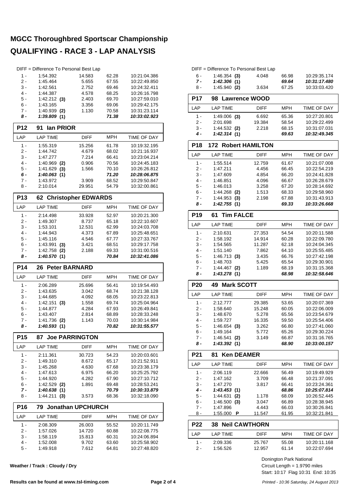|                 | DIFF = Difference To Personal Best Lap |                            |                |                              |
|-----------------|----------------------------------------|----------------------------|----------------|------------------------------|
| $1 -$           | 1:54.392                               | 14.583                     | 62.28          | 10:21:04.386                 |
| $2 -$           | 1:45.464                               | 5.655                      | 67.55          | 10:22:49.850                 |
| 3 -             | 1:42.561                               | 2.752                      | 69.46          | 10:24:32.411                 |
| $4 -$<br>5 -    | 1:44.387                               | 4.578                      | 68.25<br>69.70 | 10:26:16.798<br>10:27:59.010 |
| $6 -$           | 1:42.212(3)<br>1:43.165                | 2.403<br>3.356             | 69.06          | 10:29:42.175                 |
| 7 -             | $1:40.939$ (2)                         | 1.130                      | 70.58          | 10:31:23.114                 |
| 8 -             | 1:39.809(1)                            |                            | 71.38          | 10:33:02.923                 |
|                 |                                        |                            |                |                              |
| P12             | lan PRIOR<br>91                        |                            |                |                              |
| LAP             | <b>LAP TIME</b>                        | <b>DIFF</b>                | <b>MPH</b>     | TIME OF DAY                  |
| $1 -$           | 1:55.319                               | 15.256                     | 61.78          | 10:19:32.195                 |
| 2 -             | 1:44.742                               | 4.679                      | 68.02          | 10:21:16.937                 |
| 3 -             | 1:47.277                               | 7.214                      | 66.41          | 10:23:04.214                 |
| 4 -<br>5 -      | 1:40.969<br>(2)<br>1:41.629<br>(3)     | 0.906<br>1.566             | 70.56<br>70.10 | 10:24:45.183<br>10:26:26.812 |
| 6 -             | 1:40.063(1)                            |                            | 71.20          | 10:28:06.875                 |
| $7 -$           | 1:43.972                               | 3.909                      | 68.52          | 10:29:50.847                 |
| 8 -             | 2:10.014                               | 29.951                     | 54.79          | 10:32:00.861                 |
| P <sub>13</sub> | 62                                     | <b>Christopher EDWARDS</b> |                |                              |
| LAP             | <b>LAP TIME</b>                        | <b>DIFF</b>                | <b>MPH</b>     | TIME OF DAY                  |
| $1 -$           | 2:14.498                               | 33.928                     | 52.97          | 10:20:21.300                 |
| 2 -             | 1:49.307                               | 8.737                      | 65.18          | 10:22:10.607                 |
| 3 -             | 1:53.101                               | 12.531                     | 62.99          | 10:24:03.708                 |
| 4 -             | 1:44.943                               | 4.373                      | 67.89          | 10:25:48.651                 |
| 5 -             | 1:45.116                               | 4.546                      | 67.77          | 10:27:33.767                 |
| 6 -             | 1:43.991<br>(3)                        | 3.421                      | 68.51          | 10:29:17.758                 |
| 7 -             | 1:42.758<br>(2)                        | 2.188                      | 69.33          | 10:31:00.516                 |
| 8 -             | 1:40.570(1)                            |                            | 70.84          | 10:32:41.086                 |
|                 |                                        |                            |                |                              |
| <b>P14</b>      | <b>Peter BARNARD</b><br>26             |                            |                |                              |
| LAP             | <b>LAP TIME</b>                        | DIFF                       | MPH            | TIME OF DAY                  |
| $1 -$           | 2:06.289                               | 25.696                     | 56.41          | 10:19:54.493                 |
| 2 -             | 1:43.635                               | 3.042                      | 68.74          | 10:21:38.128                 |
| 3 -             | 1:44.685                               | 4.092                      | 68.05          | 10:23:22.813                 |
| $4 -$           | 1:42.151<br>(3)                        | 1.558                      | 69.74          | 10:25:04.964                 |
| 5 -             | 1:44.877                               | 4.284                      | 67.93          | 10:26:49.841                 |
| 6 -             | 1:43.407                               | 2.814                      | 68.89          | 10:28:33.248                 |
| 7 -<br>8 -      | 1:41.736<br>(2)<br>1:40.593(1)         | 1.143                      | 70.03<br>70.82 | 10:30:14.984<br>10:31:55.577 |
| <b>P15</b>      | 87.                                    | <b>Joe PARRINGTON</b>      |                |                              |
|                 |                                        |                            |                |                              |
| LAP             | <b>LAP TIME</b>                        | DIFF                       | <b>MPH</b>     | TIME OF DAY                  |
| 1 -<br>$2 -$    | 2:11.361<br>1:49.310                   | 30.723<br>8.672            | 54.23<br>65.17 | 10:20:03.601<br>10:21:52.911 |
| $3 -$           | 1:45.268                               | 4.630                      | 67.68          | 10:23:38.179                 |
| 4 -             | 1:47.613                               | 6.975                      | 66.20          | 10:25:25.792                 |
| 5 -             | 1:44.920                               | 4.282                      | 67.90          | 10:27:10.712                 |
| 6 -             | $1:42.529$ (2)                         | 1.891                      | 69.48          | 10:28:53.241                 |
| 7 -             | 1:40.638(1)                            |                            | 70.79          | 10:30:33.879                 |
| $8 -$           | 1:44.211<br>(3)                        | 3.573                      | 68.36          | 10:32:18.090                 |
| <b>P16</b>      | 79                                     | <b>Jonathan UPCHURCH</b>   |                |                              |
| LAP             | <b>LAP TIME</b>                        | DIFF                       | MPH            | TIME OF DAY                  |
| 1 -             | 2:08.309                               | 26.003                     | 55.52          | 10:20:11.749                 |
| $2 -$           | 1:57.026                               | 14.720                     | 60.88          | 10:22:08.775                 |
| 3 -             | 1:58.119                               | 15.813                     | 60.31          | 10:24:06.894                 |
| 4 -<br>5 -      | 1:52.008<br>1:49.918                   | 9.702<br>7.612             | 63.60<br>64.81 | 10:25:58.902<br>10:27:48.820 |

**Weather / Track : Cloudy / Dry**

|       | DIFF = Difference To Personal Best Lap |       |       |              |
|-------|----------------------------------------|-------|-------|--------------|
| հ -   | $1:46.354$ (3)                         | 4.048 | 66.98 | 10:29:35.174 |
| $7 -$ | 1:42.306(1)                            |       | 69.64 | 10:31:17.480 |
| я.    | 1.45 $940(2)$                          | 3 634 | 67 25 | 10.33.03.420 |

| 8 -             | 1:45.940 (2)               | 3.634                  | 67.25      | 10:33:03.420       |
|-----------------|----------------------------|------------------------|------------|--------------------|
| <b>P17</b>      | <b>Lawrence WOOD</b><br>98 |                        |            |                    |
| LAP             | <b>LAP TIME</b>            | <b>DIFF</b>            | MPH        | TIME OF DAY        |
| 1 -             | $1:49.006$ (3)             | 6.692                  | 65.36      | 10:27:20.801       |
| $2 -$           | 2:01.698                   | 19.384                 | 58.54      | 10:29:22.499       |
| $3 -$           | $1:44.532$ (2)             | 2.218                  | 68.15      | 10:31:07.031       |
| 4 -             | 1:42.314(1)                |                        | 69.63      | 10:32:49.345       |
| P <sub>18</sub> | 172                        | <b>Robert HAMILTON</b> |            |                    |
| LAP             | <b>LAP TIME</b>            | <b>DIFF</b>            | MPH        | TIME OF DAY        |
| $1 -$           | 1:55.514                   | 12.759                 | 61.67      | 10:21:07.008       |
| $2 -$           | 1:47.211                   | 4.456                  | 66.45      | 10:22:54.219       |
| $3 -$           | 1:47.609                   | 4.854                  | 66.20      | 10:24:41.828       |
| $4 -$           | 1:46.851                   | 4.096                  | 66.67      | 10:26:28.679       |
| $5 -$           | 1:46.013                   | 3.258                  | 67.20      | 10:28:14.692       |
| $6 -$           | 1:44.268<br>(2)            | 1.513                  | 68.33      | 10:29:58.960       |
| $7 -$           | $1:44.953$ (3)             | 2.198                  | 67.88      | 10:31:43.913       |
| 8 -             | 1:42.755(1)                |                        | 69.33      | 10:33:26.668       |
| P <sub>19</sub> | 61<br><b>Tim FALCE</b>     |                        |            |                    |
| LAP             | <b>LAP TIME</b>            | <b>DIFF</b>            | <b>MPH</b> | <b>TIME OF DAY</b> |
| $1 -$           | 2:10.631                   | 27.353                 | 54.54      | 10:20:11.588       |
| $2 -$           | 1:58.192                   | 14.914                 | 60.28      | 10:22:09.780       |
| $3 -$           | 1:54.565                   | 11.287                 | 62.18      | 10:24:04.345       |
| $4 -$           | 1:51.140                   | 7.862                  | 64.10      | 10:25:55.485       |
| $5 -$           | 1:46.713(3)                | 3.435                  | 66.76      | 10:27:42.198       |
| $6 -$           | 1:48.703                   | 5.425                  | 65.54      | 10:29:30.901       |
| 7 -             | 1:44.467 (2)               | 1.189                  | 68.19      | 10:31:15.368       |
| 8 -             | 1:43.278(1)                |                        | 68.98      | 10:32:58.646       |
| <b>P20</b>      | <b>Mark SCOTT</b><br>49    |                        |            |                    |
| LAP             | <b>LAP TIME</b>            | <b>DIFF</b>            | MPH        | <b>TIME OF DAY</b> |
| $1 -$           | 2:12.777                   | 29.385                 | 53.65      | 10:20:07.369       |
| $2 -$           | 1:58.640                   | 15.248                 | 60.05      | 10:22:06.009       |
| $3 -$           | 1:48.670                   | 5.278                  | 65.56      | 10:23:54.679       |
| $4 -$           | 1:59.727                   | 16.335                 | 59.50      | 10:25:54.406       |
| $5 -$           | 1:46.654<br>(3)            | 3.262                  | 66.80      | 10:27:41.060       |
| $6 -$           | 1:49.164                   | 5.772                  | 65.26      | 10:29:30.224       |
| 7 -             | 1:46.541<br>(2)            | 3.149                  | 66.87      | 10:31:16.765       |
| 8 -             | 1:43.392(1)                |                        | 68.90      | 10:33:00.157       |
| P21             | <b>Ken DEAMER</b><br>81    |                        |            |                    |
| LAP             | <b>LAP TIME</b>            | <b>DIFF</b>            | <b>MPH</b> | TIME OF DAY        |
| $1 -$           | 2.06119                    | 22.666                 | 56.49      | 10:19:49 929       |

| P22   | <b>Neil CAWTHORN</b><br>38. |        |       |                     |
|-------|-----------------------------|--------|-------|---------------------|
| 8 -   | 1:55.000<br>- P             | 11.547 | 61.95 | 10:32:21.841        |
| 7 -   | 1:47.896                    | 4.443  | 66.03 | 10:30:26.841        |
| $6 -$ | 1:46.500<br>(3)             | 3.047  | 66.89 | 10:28:38.945        |
| $5 -$ | 1:44.631<br>(2)             | 1.178  | 68.09 | 10:26:52.445        |
| 4 -   | 1:43.453(1)                 |        | 68.86 | 10:25:07.814        |
| $3 -$ | 1:47.270                    | 3.817  | 66.41 | 10:23:24.361        |
| 2 -   | 1:47.162                    | 3.709  | 66.48 | 10:21:37.091        |
| 1 -   | 2:06.119                    | 22.666 | 56.49 | 10:19:49.929        |
| –‴    | LAI IIIIL                   | .      | .     | $11111L$ $11$ $171$ |

| F 44 | <b>JO NUIL VANLITURIN</b> |             |       |              |
|------|---------------------------|-------------|-------|--------------|
| I AP | I AP TIMF                 | <b>DIFF</b> | MPH   | TIME OF DAY  |
| 1 -  | 2:09.336                  | 25.767      | 55.08 | 10:20:11.168 |
| 2 -  | 1:56.526                  | 12.957      | 61.14 | 10:22:07.694 |

Start: 10:17 Flag 10:31 End: 10:35 Circuit Length = 1.9790 miles Donington Park National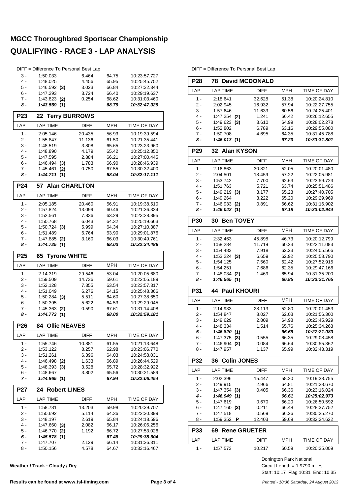|                 | DIFF = Difference To Personal Best Lap |                       |                |                              |
|-----------------|----------------------------------------|-----------------------|----------------|------------------------------|
| $3 -$           | 1:50.033                               | 6.464                 | 64.75          | 10:23:57.727                 |
| $4 -$           | 1:48.025                               | 4.456                 | 65.95          | 10:25:45.752                 |
| 5 -             | $1:46.592$ (3)                         | 3.023                 | 66.84          | 10:27:32.344                 |
| 6 -             | 1:47.293                               | 3.724                 | 66.40          | 10:29:19.637                 |
| $7 -$           | 1:43.823 (2)                           | 0.254                 | 68.62          | 10:31:03.460                 |
| 8 -             | 1:43.569(1)                            |                       | 68.79          | 10:32:47.029                 |
| P <sub>23</sub> | 22 Terry BURROWS                       |                       |                |                              |
| LAP             | <b>LAP TIME</b>                        | <b>DIFF</b>           | MPH            | <b>TIME OF DAY</b>           |
| $1 -$           | 2:05.146                               | 20.435                | 56.93          | 10:19:39.594                 |
| 2 -             | 1:55.847                               | 11.136                | 61.50          | 10:21:35.441                 |
| $3 -$           | 1:48.519                               | 3.808                 | 65.65          | 10:23:23.960                 |
| 4 -             | 1:48.890                               | 4.179                 | 65.42          | 10:25:12.850                 |
| 5 -             | 1:47.595                               | 2.884                 | 66.21          | 10:27:00.445                 |
| 6 -             | 1:46.494(3)                            | 1.783                 | 66.90          | 10:28:46.939                 |
| 7 -             | 1:45.461<br>(2)                        | 0.750                 | 67.55          | 10:30:32.400                 |
| 8 -             | 1:44.711<br>(1)                        |                       | 68.04          | 10:32:17.111                 |
| <b>P24</b>      | 57 Alan CHARLTON                       |                       |                |                              |
| LAP             | <b>LAP TIME</b>                        | <b>DIFF</b>           | MPH            | TIME OF DAY                  |
| 1 -             | 2:05.185                               | 20.460                | 56.91          | 10:19:38.510                 |
| $2 -$           | 1:57.824                               | 13.099                | 60.46          | 10:21:36.334                 |
| 3 -             | 1:52.561                               | 7.836                 | 63.29          | 10:23:28.895                 |
| 4 -             | 1:50.768                               | 6.043                 | 64.32          | 10:25:19.663                 |
| 5 -             | $1:50.724$ (3)                         | 5.999                 | 64.34          | 10:27:10.387                 |
| 6 -             | 1:51.489                               | 6.764                 | 63.90          | 10:29:01.876                 |
| 7 -             | 1:47.885 (2)                           | 3.160                 | 66.03          | 10:30:49.761                 |
| 8 -             | 1:44.725(1)                            |                       | 68.03          | 10:32:34.486                 |
| P <sub>25</sub> | <b>Tyrone WHITE</b><br>65              |                       |                |                              |
| LAP             | LAP TIME                               | <b>DIFF</b>           | MPH            | TIME OF DAY                  |
| $1 -$           | 2:14.319                               | 29.546                | 53.04          | 10:20:05.680                 |
| $2 -$           | 1:59.509                               | 14.736                | 59.61          | 10:22:05.189                 |
| 3 -             | 1:52.128                               | 7.355                 | 63.54          | 10:23:57.317                 |
| 4 -             | 1:51.049                               | 6.276                 | 64.15          | 10:25:48.366                 |
| $5 -$           | $1:50.284$ (3)                         | 5.511                 | 64.60          | 10:27:38.650                 |
| 6 -             | 1:50.395                               | 5.622                 | 64.53          | 10:29:29.045                 |
| 7 -<br>8 -      | $1:45.363$ (2)<br>1:44.773(1)          | 0.590                 | 67.61<br>68.00 | 10:31:14.408<br>10:32:59.181 |
| P26             | <b>Ollie NEAVES</b><br>84 -            |                       |                |                              |
| LAP             | <b>LAP TIME</b>                        | <b>DIFF</b>           | MPH            | TIME OF DAY                  |
| 1 -             | 1:55.746                               | 10.881                | 61.55          | 10:21:13.648                 |
| $2 -$           | 1:53.122                               | 8.257                 | 62.98          | 10:23:06.770                 |
| 3 -             | 1:51.261                               | 6.396                 | 64.03          | 10:24:58.031                 |
| 4 -             | $1:46.498$ (2)                         | 1.633                 | 66.89          | 10:26:44.529                 |
| 5 -             | 1:48.393(3)                            | 3.528                 | 65.72          | 10:28:32.922                 |
| 6 -             | 1:48.667                               | 3.802                 | 65.56          | 10:30:21.589                 |
|                 | 1:44.865(1)                            |                       | 67.94          | 10:32:06.454                 |
| 7 -             |                                        |                       |                |                              |
| P27             | <b>Robert LINES</b><br>24              |                       |                |                              |
| LAP             | LAP TIME                               |                       | MPH            | TIME OF DAY                  |
| 1 -             | 1:58.781                               | <b>DIFF</b><br>13.203 | 59.98          | 10:20:39.707                 |
| $2 -$           | 1:50.692                               | 5.114                 | 64.36          | 10:22:30.399                 |
| 3 -             | 1:48.197                               | 2.619                 | 65.84          | 10:24:18.596                 |
| 4 -             | $1:47.660$ (3)                         | 2.082                 | 66.17          | 10:26:06.256                 |
| 5 -             | 1:46.770<br>(2)                        | 1.192                 | 66.72          | 10:27:53.026                 |
| 6 -             | 1:45.578(1)                            |                       | 67.48          | 10:29:38.604                 |
| $7 -$           | 1:47.707                               | 2.129                 | 66.14          | 10:31:26.311                 |
| 8 -             | 1:50.156                               | 4.578                 | 64.67          | 10:33:16.467                 |

**Weather / Track : Cloudy / Dry**

DIFF = Difference To Personal Best Lap

| P28             | <b>78 David MCDONALD</b>   |                 |                |                              |
|-----------------|----------------------------|-----------------|----------------|------------------------------|
|                 |                            |                 |                |                              |
| LAP             | <b>LAP TIME</b>            | <b>DIFF</b>     | MPH            | TIME OF DAY                  |
| $1 -$           | 2:18.641                   | 32.628          | 51.38          | 10:20:24.810                 |
| 2 -             | 2:02.945                   | 16.932          | 57.94          | 10:22:27.755                 |
| 3 -<br>4 -      | 1:57.646<br>$1:47.254$ (2) | 11.633          | 60.56          | 10:24:25.401                 |
| 5 -             | $1:49.623$ (3)             | 1.241<br>3.610  | 66.42<br>64.99 | 10:26:12.655<br>10:28:02.278 |
| 6 -             | 1:52.802                   | 6.789           | 63.16          | 10:29:55.080                 |
| 7 -             | 1:50.708                   | 4.695           | 64.35          | 10:31:45.788                 |
| 8 -             | 1:46.013(1)                |                 | 67.20          | 10:33:31.801                 |
| P <sub>29</sub> | 32 Alan KYSON              |                 |                |                              |
| LAP             | <b>LAP TIME</b>            | <b>DIFF</b>     | <b>MPH</b>     | TIME OF DAY                  |
| $1 -$           | 2:16.863                   | 30.821          | 52.05          | 10:20:01.480                 |
| 2 -             | 2:04.501                   | 18.459          | 57.22          | 10:22:05.981                 |
| 3 -             | 1:53.742                   | 7.700           | 62.63          | 10:23:59.723                 |
| 4 -             | 1:51.763                   | 5.721           | 63.74          | 10:25:51.486                 |
| 5 -             | $1:49.219$ (3)             | 3.177           | 65.23          | 10:27:40.705                 |
| 6 -             | 1:49.264                   | 3.222           | 65.20          | 10:29:29.969                 |
| 7 -             | 1:46.933 (2)               | 0.891           | 66.62          | 10:31:16.902                 |
| 8 -             | 1:46.042 (1)               |                 | 67.18          | 10:33:02.944                 |
| <b>P30</b>      | 30 Ben TOVEY               |                 |                |                              |
| LAP             | <b>LAP TIME</b>            | DIFF            | MPH            | <b>TIME OF DAY</b>           |
| $1 -$           | 2:32.463                   | 45.898          | 46.73          | 10:20:12.799                 |
| 2 -             | 1:58.284                   | 11.719          | 60.23          | 10:22:11.083                 |
| 3 -             | 1:54.483                   | 7.918           | 62.23          | 10:24:05.566                 |
| $4 -$           | $1:53.224$ (3)             | 6.659           | 62.92          | 10:25:58.790                 |
| 5 -             | 1:54.125                   | 7.560           | 62.42          | 10:27:52.915                 |
| 6 -             | 1:54.251                   | 7.686           | 62.35          | 10:29:47.166                 |
| 7 -             | 1:48.034 (2)               | 1.469           | 65.94          | 10:31:35.200                 |
| 8 -             | 1:46.565(1)                |                 | 66.85          | 10:33:21.765                 |
| <b>P31</b>      | 44<br><b>Paul KHOURI</b>   |                 |                |                              |
| LAP             | <b>LAP TIME</b>            | DIFF            | MPH            | TIME OF DAY                  |
| $1 -$           | 2:14.933                   | 28.113          | 52.80          | 10:20:01.453                 |
| 2 -             | 1:54.847                   | 8.027           | 62.03          | 10:21:56.300                 |
| $3 -$           | 1:49.629                   | 2.809           | 64.98          | 10:23:45.929                 |
| 4 -             | 1:48.334                   | 1.514           | 65.76          | 10:25:34.263                 |
| 5 -             | 1:46.820 (1)               |                 | 66.69          | 10:27:21.083                 |
| 6 -             | $1:47.375$ (3)             | 0.555           | 66.35          | 10:29:08.458                 |
| 7 -             | 1:46.904<br>(2)            | 0.084           | 66.64          | 10:30:55.362                 |
| 8 -             | 1:47.957                   | 1.137           | 65.99          | 10:32:43.319                 |
| P32             | <b>Colin JONES</b><br>36   |                 |                |                              |
| LAP             | <b>LAP TIME</b>            | DIFF            | MPH            | <b>TIME OF DAY</b>           |
| $1 -$           | 2:02.396                   | 15.447          | 58.20          | 10:19:38.755                 |
| 2 -             | 1:49.915                   | 2.966           | 64.81          | 10:21:28.670                 |
| 3 -             | $1:47.354$ (3)             | 0.405           | 66.36          | 10:23:16.024                 |
| 4 -             | 1:46.949(1)                |                 | 66.61          | 10:25:02.973                 |
| 5 -             | 1:47.619                   | 0.670           | 66.20          | 10:26:50.592                 |
| 6 -             | 1:47.160(2)                | 0.211           | 66.48          | 10:28:37.752                 |
| $7 -$<br>8 -    | 1:47.518<br>1:59.352<br>Ρ  | 0.569<br>12.403 | 66.26<br>59.69 | 10:30:25.270<br>10:32:24.622 |
| P33             | 69 Rene GRUETER            |                 |                |                              |
| LAP             | LAP TIME                   | DIFF            | MPH            | TIME OF DAY                  |
|                 |                            |                 |                |                              |
| 1 -             | 1:57.573                   | 10.217          | 60.59          | 10:20:35.009                 |

Start: 10:17 Flag 10:31 End: 10:35 Circuit Length = 1.9790 miles Donington Park National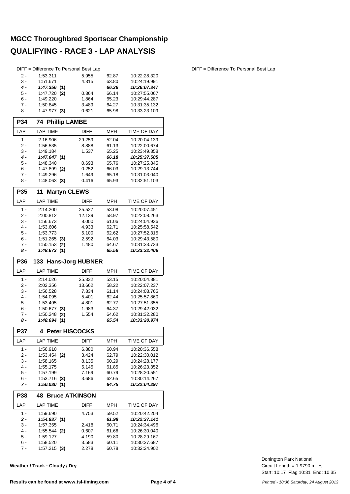|              | DIFF = Difference To Personal Best Lap |                       |                |                              |
|--------------|----------------------------------------|-----------------------|----------------|------------------------------|
| $2 -$        | 1:53.311                               | 5.955                 | 62.87          | 10:22:28.320                 |
| $3 -$        | 1:51.671                               | 4.315                 | 63.80          | 10:24:19.991                 |
| 4 -          | 1:47.356(1)                            |                       | 66.36          | 10:26:07.347                 |
| 5 -          | 1:47.720 (2)                           | 0.364                 | 66.14          | 10:27:55.067                 |
| $6 -$        | 1:49.220                               | 1.864                 | 65.23          | 10:29:44.287                 |
| $7 -$        | 1:50.845                               | 3.489                 | 64.27          | 10:31:35.132                 |
| 8 -          | $1:47.977$ (3)                         | 0.621                 | 65.98          | 10:33:23.109                 |
| <b>P34</b>   | <b>74 Phillip LAMBE</b>                |                       |                |                              |
| LAP          | <b>LAP TIME</b>                        | <b>DIFF</b>           | <b>MPH</b>     | TIME OF DAY                  |
| $1 -$        | 2:16.906                               | 29.259                | 52.04          | 10:20:04.139                 |
| 2 -          | 1:56.535                               | 8.888                 | 61.13          | 10:22:00.674                 |
| $3 -$        | 1:49.184                               | 1.537                 | 65.25          | 10:23:49.858                 |
| 4 -          | 1:47.647(1)                            |                       | 66.18          | 10:25:37.505                 |
| 5 -          | 1:48.340                               | 0.693                 | 65.76          | 10:27:25.845                 |
| 6 -<br>$7 -$ | $1:47.899$ (2)                         | 0.252                 | 66.03          | 10:29:13.744                 |
| 8 -          | 1:49.296<br>$1:48.063$ (3)             | 1.649<br>0.416        | 65.18<br>65.93 | 10:31:03.040<br>10:32:51.103 |
|              |                                        |                       |                |                              |
| P35          | <b>Martyn CLEWS</b><br>11              |                       |                |                              |
| LAP          | <b>LAP TIME</b>                        | DIFF                  | <b>MPH</b>     | TIME OF DAY                  |
| 1 -<br>2 -   | 2:14.200                               | 25.527                | 53.08<br>58.97 | 10:20:07.451                 |
|              | 2:00.812                               | 12.139                |                | 10:22:08.263                 |
| 3 -<br>$4 -$ | 1:56.673<br>1:53.606                   | 8.000<br>4.933        | 61.06<br>62.71 | 10:24:04.936<br>10:25:58.542 |
| 5 -          | 1:53.773                               | 5.100                 | 62.62          | 10:27:52.315                 |
| 6 -          | 1:51.265<br>(3)                        | 2.592                 | 64.03          | 10:29:43.580                 |
| 7 -          | 1:50.153<br>(2)                        | 1.480                 | 64.67          | 10:31:33.733                 |
| 8 -          | 1:48.673(1)                            |                       | 65.56          | 10:33:22.406                 |
|              |                                        |                       |                |                              |
| P36          | 133 Hans-Jorg HUBNER                   |                       |                |                              |
| LAP          | <b>LAP TIME</b>                        | <b>DIFF</b>           | <b>MPH</b>     | TIME OF DAY                  |
|              |                                        |                       |                |                              |
| $1 -$        | 2:14.026                               | 25.332                | 53.15          | 10:20:04.881                 |
| 2 -<br>3 -   | 2:02.356<br>1:56.528                   | 13.662<br>7.834       | 58.22<br>61.14 | 10:22:07.237<br>10:24:03.765 |
| $4 -$        | 1:54.095                               | 5.401                 | 62.44          | 10:25:57.860                 |
| $5 -$        | 1:53.495                               | 4.801                 | 62.77          | 10:27:51.355                 |
| 6 -          | 1:50.677<br>(3)                        | 1.983                 | 64.37          | 10:29:42.032                 |
| 7 -          | 1:50.248<br>(2)                        | 1.554                 | 64.62          | 10:31:32.280                 |
| 8 -          | 1:48.694(1)                            |                       | 65.54          | 10:33:20.974                 |
| P37          | 4<br><b>Peter HISCOCKS</b>             |                       |                |                              |
| LAP          | <b>LAP TIME</b>                        | <b>DIFF</b>           | MPH            | TIME OF DAY                  |
| $1 -$        | 1:56.910                               | 6.880                 | 60.94          | 10:20:36.558                 |
| 2 -          | 1:53.454 <b>(2)</b>                    | 3.424                 | 62.79          | 10:22:30.012                 |
| 3 -          | 1:58.165                               | 8.135                 | 60.29          | 10:24:28.177                 |
| 4 -          | 1:55.175                               | 5.145                 | 61.85          | 10:26:23.352                 |
| 5 -          | 1:57.199                               | 7.169                 | 60.79          | 10:28:20.551                 |
| 6 -<br>7 -   | $1:53.716$ (3)<br>1:50.030(1)          | 3.686                 | 62.65<br>64.75 | 10:30:14.267<br>10:32:04.297 |
|              | 48                                     | <b>Bruce ATKINSON</b> |                |                              |
| P38<br>LAP   | LAP TIME                               | DIFF                  | MPH            | TIME OF DAY                  |
| 1 -          | 1:59.690                               | 4.753                 | 59.52          | 10:20:42.204                 |
| 2 -          | <i>1:54.937</i> (1)                    |                       | 61.98          | 10:22:37.141                 |
| 3 -          | 1:57.355                               | 2.418                 | 60.71          | 10:24:34.496                 |
| 4 -          | $1:55.544$ (2)                         | 0.607                 | 61.66          | 10:26:30.040                 |
| 5 -          | 1:59.127                               | 4.190                 | 59.80          | 10:28:29.167                 |
| 6 -<br>7 -   | 1:58.520<br>$1:57.215$ (3)             | 3.583<br>2.278        | 60.11<br>60.78 | 10:30:27.687<br>10:32:24.902 |

**Weather / Track : Cloudy / Dry**

Start: 10:17 Flag 10:31 End: 10:35 Circuit Length = 1.9790 miles Donington Park National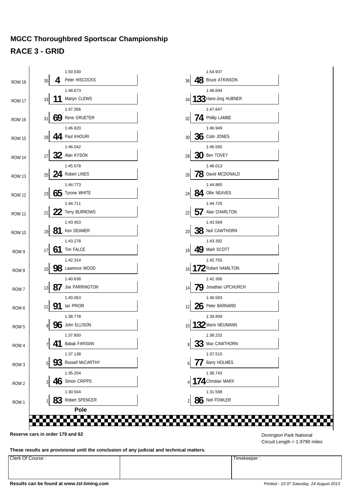### **MGCC Thoroughbred Sportscar Championship RACE 3 - GRID**



**These results are provisional until the conclusion of any judicial and technical matters.**

Clerk Of Course : Timekeeper : Timekeeper :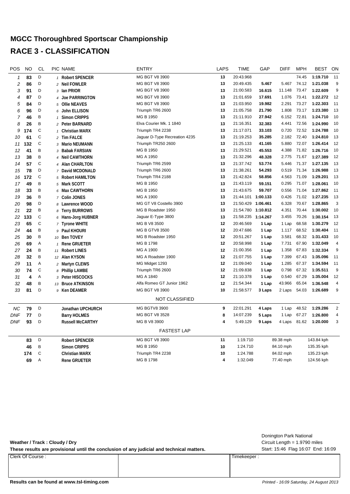### **MGCC Thoroughbred Sportscar Championship RACE 3 - CLASSIFICATION**

| POS            | <b>NO</b> | <b>CL</b>    | PIC NAME                            | <b>ENTRY</b>                  | <b>LAPS</b> | <b>TIME</b>        | GAP      | <b>DIFF</b> | <b>MPH</b> | <b>BEST</b> | ON             |
|----------------|-----------|--------------|-------------------------------------|-------------------------------|-------------|--------------------|----------|-------------|------------|-------------|----------------|
| 1              | 83        | D            | 1 Robert SPENCER                    | MG BGT V8 3900                | 13          | 20:43.968          |          |             | 74.45      | 1:19.710    | 11             |
| $\overline{c}$ | 86        | D            | 2 Neil FOWLER                       | MG BGT V8 3900                | 13          | 20:49.435          | 5.467    | 5.467       | 74.12      | 1:21.038    | 9              |
| 3              | 91        | D            | 3 Ian PRIOR                         | MG BGT V8 3900                | 13          | 21:00.583          | 16.615   | 11.148      | 73.47      | 1:22.609    | 9              |
| 4              | 87        | D            | 4 Joe PARRINGTON                    | MG BGT V8 3900                | 13          | 21:01.659          | 17.691   | 1.076       | 73.41      | 1:22.272    | 12             |
| 5              | 84        | D            | 5 Ollie NEAVES                      | MG BGT V8 3900                | 13          | 21:03.950          | 19.982   | 2.291       | 73.27      | 1:22.303    | 11             |
| 6              | 96        | D            | 6 John ELLISON                      | Triumph TR6 2600              | 13          | 21:05.758          | 21.790   | 1.808       | 73.17      | 1:23.380    | 13             |
| 7              | 46        | B            | <b>Simon CRIPPS</b><br>$\mathbf{1}$ | MG B 1950                     | 13          | 21:11.910          | 27.942   | 6.152       | 72.81      | 1:24.710    | 10             |
| 8              | 26        | B            | 2 Peter BARNARD                     | Elva Courier Mk. 1 1840       | 13          | 21:16.351          | 32.383   | 4.441       | 72.56      | 1:24.990    | 10             |
| 9              | 174       | $\mathsf C$  | 1 Christian MARX                    | Triumph TR4 2238              | 13          | 21:17.071          | 33.103   | 0.720       | 72.52      | 1:24.788    | 10             |
| 10             | 61        | $\mathbb C$  | 2 Tim FALCE                         | Jaguar D-Type Recreation 4235 | 13          | 21:19.253          | 35.285   | 2.182       | 72.40      | 1:24.810    | 13             |
| 11             | 132       | $\mathsf C$  | 3 Mario NEUMANN                     | Triumph TR250 2600            | 13          | 21:25.133          | 41.165   | 5.880       | 72.07      | 1:26.414    | 12             |
| 12             | 41        | B            | 3 Babak FARSIAN                     | MG B 1950                     | 13          | 21:29.521          | 45.553   | 4.388       | 71.82      | 1:26.716    | 10             |
| 13             | 38        | B            | 4 Neil CAWTHORN                     | MG A 1950                     | 13          | 21:32.296          | 48.328   | 2.775       | 71.67      | 1:27.389    | 12             |
| 14             | 57        | $\mathsf C$  | 4 Alan CHARLTON                     | Triumph TR6 2599              | 13          | 21:37.742          | 53.774   | 5.446       | 71.37      | 1:27.135    | 13             |
| 15             | 78        | D            | 7 David MCDONALD                    | Triumph TR6 2600              | 13          | 21:38.261          | 54.293   | 0.519       | 71.34      | 1:26.988    | 13             |
| 16             | 172       | $\mathsf C$  | 5 Robert HAMILTON                   | Triumph TR4 2188              | 13          | 21:42.824          | 58.856   | 4.563       | 71.09      | 1:29.201    | 13             |
| 17             | 49        | B            | 5 Mark SCOTT                        | MG B 1950                     | 13          | 21:43.119          | 59.151   | 0.295       | 71.07      | 1:28.061    | 10             |
| 18             | 33        | B            | 6 Max CAWTHORN                      | MG B 1950                     | 13          | 21:43.675          | 59.707   | 0.556       | 71.04      | 1:27.862    | 11             |
| 19             | 36        | B            | 7 Colin JONES                       | MG A 1900                     | 13          | 21:44.101 1:00.133 |          | 0.426       | 71.02      | 1:27.235    | 13             |
| 20             | 98        | D            | 8 Lawrence WOOD                     | MG GT V8 Costello 3900        | 13          | 21:50.429 1:06.461 |          | 6.328       | 70.67      | 1:28.865    | 3              |
| 21             | 22        | Β            | 8 Terry BURROWS                     | MG B Roadster 1950            | 13          | 21:54.780          | 1:10.812 | 4.351       | 70.44      | 1:30.002    | 10             |
| 22             | 133       | $\mathsf C$  | 6 Hans-Jorg HUBNER                  | Jaguar E-Type 3800            | 13          | 21:58.235          | 1:14.267 | 3.455       | 70.26      | 1:30.154    | 13             |
| 23             | 65        | $\mathsf C$  | 7 Tyrone WHITE                      | MG B V8 3500                  | 12          | 20:46.569          | 1 Lap    | 1 Lap       | 68.58      | 1:30.279    | 12             |
| 24             | 44        | B            | 9 Paul KHOURI                       | <b>MG B GTV8 3500</b>         | 12          | 20:47.686          | 1 Lap    | 1.117       | 68.52      | 1:30.404    | 11             |
| 25             | 30        | B            | 10 Ben TOVEY                        | MG B Roadster 1950            | 12          | 20:51.267          | 1 Lap    | 3.581       | 68.32      | 1:31.433    | 10             |
| 26             | 69        | Α            | 1 Rene GRUETER                      | MG B 1798                     | 12          | 20:58.998          | 1 Lap    | 7.731       | 67.90      | 1:32.049    | 4              |
| 27             | 24        | B            | 11 Robert LINES                     | MG A 1900                     | 12          | 21:00.356          | 1 Lap    | 1.358       | 67.83      | 1:32.334    | 9              |
| 28             | 32        | B            | 12 Alan KYSON                       | MG A Roadster 1900            | 12          | 21:07.755          | 1 Lap    | 7.399       | 67.43      | 1:35.096    | 11             |
| 29             | 11        | Α            | 2 Martyn CLEWS                      | MG Midget 1293                | 12          | 21:09.040          | 1 Lap    | 1.285       | 67.37      | 1:34.594    | 11             |
| 30             | 74        | $\mathsf C$  | 8 Phillip LAMBE                     | Triumph TR6 2600              | 12          | 21:09.838          | 1 Lap    | 0.798       | 67.32      | 1:35.511    | 9              |
| 31             | 4         | A            | Peter HISCOCKS<br>3                 | MG A 1840                     | 12          | 21:10.378          | 1 Lap    | 0.540       | 67.29      | 1:35.004    | 12             |
| 32             | 48        | B            | 13 Bruce ATKINSON                   | Alfa Romeo GT Junior 1962     | 12          | 21:54.344          | 1 Lap    | 43.966      | 65.04      | 1:36.548    | 4              |
| 33             | 81        | D            | 9 Ken DEAMER                        | MG BGT V8 3900                | 10          | 21:58.577          | 3 Laps   | 2 Laps      | 54.03      | 1:26.689    | 9              |
|                |           |              |                                     | <b>NOT CLASSIFIED</b>         |             |                    |          |             |            |             |                |
| NС             | 79        | D            | Jonathan UPCHURCH                   | MG BGTV8 3900                 | 9           | 22:01.291          | 4 Laps   | 1 Lap       | 48.52      | 1:29.286    | $\overline{2}$ |
| <b>DNF</b>     | 77        | D            | <b>Barry HOLMES</b>                 | MG BGT V8 3528                | 8           | 14:07.239          | 5 Laps   | 1 Lap       | 67.27      | 1:26.800    | 4              |
| <b>DNF</b>     | 93        | D            | <b>Russell McCARTHY</b>             | MG B V8 3900                  | 4           | 5:49.129           | 9 Laps   | 4 Laps      | 81.62      | 1:20.000    | 3              |
|                |           |              |                                     | <b>FASTEST LAP</b>            |             |                    |          |             |            |             |                |
|                | 83        | D            | <b>Robert SPENCER</b>               | MG BGT V8 3900                | 11          | 1:19.710           |          | 89.38 mph   |            | 143.84 kph  |                |
|                | 46        | B            | <b>Simon CRIPPS</b>                 | MG B 1950                     | 10          | 1:24.710           |          | 84.10 mph   |            | 135.35 kph  |                |
|                | 174       | $\mathsf{C}$ | <b>Christian MARX</b>               | Triumph TR4 2238              | 10          | 1:24.788           |          | 84.02 mph   |            | 135.23 kph  |                |
|                | 69        | Α            | <b>Rene GRUETER</b>                 | MG B 1798                     | 4           | 1:32.049           |          | 77.40 mph   |            | 124.56 kph  |                |
|                |           |              |                                     |                               |             |                    |          |             |            |             |                |

|                                                                                           |             | Donington Park National            |
|-------------------------------------------------------------------------------------------|-------------|------------------------------------|
| Weather / Track: Cloudy / Dry                                                             |             | Circuit Length $= 1.9790$ miles    |
| These results are provisional until the conclusion of any judicial and technical matters. |             | Start: 15:46 Flag 16:07 End: 16:09 |
| Clerk Of Course:                                                                          | Timekeeper: |                                    |
|                                                                                           |             |                                    |

#### **Results can be found at www.tsl-timing.com** *Printed - 16:09 Saturday, 24 August 2013*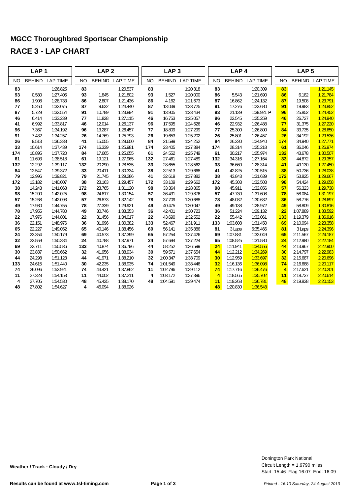|           | LAP <sub>1</sub> |                 |           | LAP <sub>2</sub> |                 |           | LAP <sub>3</sub> |                        |                | LAP <sub>4</sub> |                         |                | LAP <sub>5</sub> |                 |
|-----------|------------------|-----------------|-----------|------------------|-----------------|-----------|------------------|------------------------|----------------|------------------|-------------------------|----------------|------------------|-----------------|
| <b>NO</b> | <b>BEHIND</b>    | <b>LAP TIME</b> | <b>NO</b> | <b>BEHIND</b>    | <b>LAP TIME</b> | <b>NO</b> |                  | <b>BEHIND LAP TIME</b> | <b>NO</b>      | <b>BEHIND</b>    | <b>LAP TIME</b>         | <b>NO</b>      | <b>BEHIND</b>    | <b>LAP TIME</b> |
| 83        |                  | 1:26.825        | 83        |                  | 1:20.537        | 83        |                  | 1:20.318               | 83             |                  | 1:20.309                | 83             |                  | 1:21.145        |
| 93        | 0.580            | 1:27.405        | 93        | 1.845            | 1:21.802        | 93        | 1.527            | 1:20.000               | 86             | 5.543            | 1:21.690                | 86             | 6.182            | 1:21.784        |
| 86        | 1.908            | 1:28.733        | 86        | 2.807            | 1:21.436        | 86        | 4.162            | 1:21.673               | 87             | 16.862           | 1:24.132                | 87             | 19.508           | 1:23.791        |
| 77        | 5.250            | 1:32.075        | 87        | 9.632            | 1:24.440        | 87        | 13.039           | 1:23.725               | 91             | 17.276           | 1:23.680                | 91             | 19.983           | 1:23.852        |
| 87        | 5.729            | 1:32.554        | 91        | 10.789           | 1:23.894        | 91        | 13.905           | 1:23.434               | 93             | 21.139           | 1:39.921 $\blacksquare$ | 96             | 25.852           | 1:24.452        |
| 46        | 6.414            | 1:33.239        | 77        | 11.828           | 1:27.115        | 46        | 16.753           | 1:25.057               | 96             | 22.545           | 1:25.259                | 46             | 26.727           | 1:24.940        |
| 41        | 6.992            | 1:33.817        | 46        | 12.014           | 1:26.137        | 96        | 17.595           | 1:24.626               | 46             | 22.932           | 1:26.488                | 77             | 31.375           | 1:27.220        |
| 96        | 7.367            | 1:34.192        | 96        | 13.287           | 1:26.457        | 77        | 18.809           | 1:27.299               | 77             | 25.300           | 1:26.800                | 84             | 33.735           | 1:28.650        |
| 91        | 7.432            | 1:34.257        | 26        | 14.769           | 1:25.793        | 26        | 19.653           | 1:25.202               | 26             | 25.801           | 1:26.457                | 26             | 34.192           | 1:29.536        |
| 26        | 9.513            | 1:36.338        | 41        | 15.055           | 1:28.600        | 84        | 21.599           | 1:24.252               | 84             | 26.230           | 1:24.940                | 174            | 34.940           | 1:27.771        |
| 33        | 10.614           | 1:37.439        | 174       | 16.339           | 1:25.981        | 174       | 23.405           | 1:27.384               | 174            | 28.314           | 1:25.218                | 61             | 36.046           | 1:26.974        |
| 174       | 10.895           | 1:37.720        | 84        | 17.665           | 1:25.655        | 61        | 24.552           | 1:25.749               | 61             | 30.217           | 1:25.974                | 132            | 43.678           | 1:30.507        |
| 61        | 11.693           | 1:38.518        | 61        | 19.121           | 1:27.965        | 132       | 27.461           | 1:27.489               | 132            | 34.316           | 1:27.164                | 33             | 44.872           | 1:29.357        |
| 132       | 12.292           | 1:39.117        | 132       | 20.290           | 1:28.535        | 33        | 28.655           | 1:28.562               | 33             | 36.660           | 1:28.314                | 41             | 49.130           | 1:27.450        |
| 84        | 12.547           | 1:39.372        | 33        | 20.411           | 1:30.334        | 38        | 32.513           | 1:29.668               | 41             | 42.825           | 1:30.515                | 38             | 50.736           | 1:28.038        |
| 79        | 12.996           | 1:39.821        | 79        | 21.745           | 1:29.286        | 41        | 32.619           | 1:37.882               | 38             | 43.843           | 1:31.639                | 172            | 53.825           | 1:29.667        |
| 172       | 13.182           | 1:40.007        | 38        | 23.163           | 1:29.457        | 172       | 33.109           | 1:29.662               | 172            | 45.303           | 1:32.503                | 98             | 54.424           | 1:29.658        |
| 38        | 14.243           | 1:41.068        | 172       | 23.765           | 1:31.120        | 98        | 33.364           | 1:28.865               | 98             | 45.911           | 1:32.856                | 57             | 56.323           | 1:29.738        |
| 98        | 15.200           | 1:42.025        | 98        | 24.817           | 1:30.154        | 57        | 36.431           | 1:29.876               | 57             | 47.730           | 1:31.608                | 78             | 58.084           | 1:31.197        |
| 57        | 15.268           | 1:42.093        | 57        | 26.873           | 1:32.142        | 78        | 37.709           | 1:30.688               | 78             | 48.032           | 1:30.632                | 36             | 58.776           | 1:28.697        |
| 49        | 17.930           | 1:44.755        | 78        | 27.339           | 1:29.921        | 49        | 40.475           | 1:30.047               | 49             | 49.138           | 1:28.972                | 49             | 58.809           | 1:30.816        |
| 78        | 17.955           | 1:44.780        | 49        | 30.746           | 1:33.353        | 36        | 42.401           | 1:30.723               | 36             | 51.224           | 1:29.132                | 22             | 1:07.889         | 1:33.592        |
| 22        | 17.976           | 1:44.801        | 22        | 31.456           | 1:34.017        | 22        | 43.690           | 1:32.552               | 22             | 55.442           | 1:32.061                | 133            | 1:19.379         | 1:36.916        |
| 36        | 22.151           | 1:48.976        | 36        | 31.996           | 1:30.382        | 133       | 52.467           | 1:31.911               | 133            | 1:03.608         | 1:31.450                | 69             | 2:10.094         | 2:23.358        |
| 65        | 22.227           | 1:49.052        | 65        | 40.146           | 1:38.456        | 69        | 56.141           | 1:35.886               | 81             | 3 Laps           | 6:35.466                | 81             | 3 Laps           | 2:24.396        |
| 24        | 23.354           | 1:50.179        | 69        | 40.573           | 1:37.399        | 65        | 57.254           | 1:37.426               | 69             | 1:07.881         | 1:32.049                | 65             | 2:11.567         | 2:24.187        |
| 32        | 23.559           | 1:50.384        | 24        | 40.788           | 1:37.971        | 24        | 57.694           | 1:37.224               | 65             | 1:08.525         | 1:31.580                | 24             | 2:12.980         | 2:22.184        |
| 69        | 23.711           | 1:50.536        | 133       | 40.874           | 1:36.796        | 44        | 58.252           | 1:36.599               | 24             | 1:11.941         | 1:34.556                | 44             | 2:13.967         | 2:22.900        |
| 30        | 23.837           | 1:50.662        | 32        | 41.956           | 1:38.934        | 30        | 59.571           | 1:37.654               | 44             | 1:12.212         | 1:34.269                | 30             | 2:14.797         | 2:22.983        |
| 44        | 24.298           | 1:51.123        | 44        | 41.971           | 1:38.210        | 32        | 1:00.347         | 1:38.709               | 30             | 1:12.959         | 1:33.697                | 32             | 2:15.687         | 2:20.696        |
| 133       | 24.615           | 1:51.440        | 30        | 42.235           | 1:38.935        | 74        | 1:01.549         | 1:38.446               | 32             | 1:16.136         | 1:36.098                | 74             | 2:16.688         | 2:20.117        |
| 74        | 26.096           | 1:52.921        | 74        | 43.421           | 1:37.862        | 11        | 1:02.796         | 1:39.112               | 74             | 1:17.716         | 1:36.476                | $\overline{4}$ | 2:17.621         | 2:20.201        |
| 11        | 27.328           | 1:54.153        | 11        | 44.002           | 1:37.211        | 4         | 1:03.172         | 1:37.396               | $\overline{4}$ | 1:18.565         | 1:35.702                | 11             | 2:18.737         | 2:20.614        |
| 4         | 27.705           | 1:54.530        | 48        | 45.435           | 1:38.170        | 48        | 1:04.591         | 1:39.474               | 11             | 1:19.268         | 1:36.781                | 48             | 2:19.838         | 2:20.153        |
| 48        | 27.802           | 1:54.627        | 4         | 46.094           | 1:38.926        |           |                  |                        | 48             | 1:20.830         | 1:36.548                |                |                  |                 |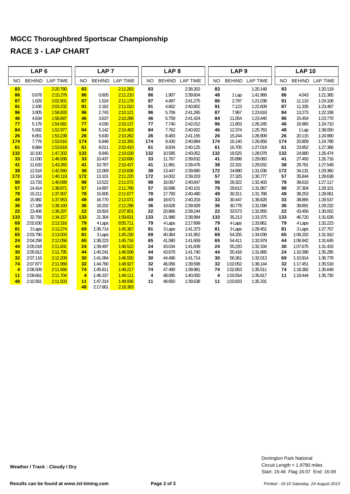|                | LAP <sub>6</sub>   |                      |                | LAP <sub>7</sub>   |                        |           | LAP <sub>8</sub> |                      |           | LAP <sub>9</sub> |                      |           | <b>LAP 10</b>      |                      |
|----------------|--------------------|----------------------|----------------|--------------------|------------------------|-----------|------------------|----------------------|-----------|------------------|----------------------|-----------|--------------------|----------------------|
| <b>NO</b>      | <b>BEHIND</b>      | <b>LAP TIME</b>      | <b>NO</b>      |                    | <b>BEHIND LAP TIME</b> | <b>NO</b> | <b>BEHIND</b>    | <b>LAP TIME</b>      | <b>NO</b> | <b>BEHIND</b>    | <b>LAP TIME</b>      | <b>NO</b> | <b>BEHIND</b>      | <b>LAP TIME</b>      |
| 83             |                    | 2:20.780             | 83             |                    | 2:11.283               | 83        |                  | 2:38.302             | 83        |                  | 1:20.148             | 83        |                    | 1:20.119             |
| 86             | 0.678              | 2:15.276             | 86             | 0.605              | 2:11.210               | 86        | 1.907            | 2:39.604             | 48        | 1 Lap            | 1:41.969             | 86        | 4.043              | 1:21.365             |
| 87             | 1.629              | 2:02.901             | 87             | 1.524              | 2:11.178               | 87        | 4.497            | 2:41.275             | 86        | 2.797            | 1:21.038             | 91        | 11.110             | 1:24.106             |
| 91             | 2.435              | 2:03.232             | 91             | 2.162              | 2:11.010               | 91        | 4.662            | 2:40.802             | 91        | 7.123            | 1:22.609             | 87        | 11.335             | 1:23.487             |
| 96             | 3.905              | 1:58.833             | 96             | 2.743              | 2:10.121               | 96        | 5.706            | 2:41.265             | 87        | 7.967            | 1:23.618             | 84        | 13.273             | 1:22.338             |
| 46             | 4.634              | 1:58.687             | 46             | 3.637              | 2:10.286               | 46        | 6.759            | 2:41.424             | 84        | 11.054           | 1:23.440             | 96        | 15.454             | 1:23.770             |
| 77             | 5.176              | 1:54.581             | 77             | 4.030              | 2:10.137               | 77        | 7.740            | 2:42.012             | 96        | 11.803           | 1:26.245             | 46        | 16.965             | 1:24.710             |
| 84             | 5.932              | 1:52.977             | 84             | 5.142              | 2:10.493               | 84        | 7.762            | 2:40.922             | 46        | 12.374           | 1:25.763             | 48        | 1 Lap              | 1:38.050             |
| 26             | 6.651              | 1:53.239             | 26             | 5.630              | 2:10.262               | 26        | 8.483            | 2:41.155             | 26        | 15.244           | 1:26.909             | 26        | 20.115             | 1:24.990             |
| 174            | 7.776              | 1:53.616             | 174            | 6.848              | 2:10.355               | 174       | 9.430            | 2:40.884             | 174       | 16.140           | 1:26.858             | 174       | 20.809             | 1:24.788             |
| 61             | 8.884              | 1:53.618             | 61             | 8.011              | 2:10.410               | 61        | 9.834            | 2:40.125             | 61        | 16.705           | 1:27.019             | 61        | 23.952             | 1:27.366             |
| 132            | 10.100             | 1:47.202             | 132            | 8.845              | 2:10.028               | 132       | 10.595           | 2:40.052             | 132       | 18.525           | 1:28.078             | 132       | 24.880             | 1:26.474             |
| 33             | 11.030             | 1:46.938             | 33             | 10.437             | 2:10.690               | 33        | 11.767           | 2:39.632             | 41        | 20.896           | 1:29.083             | 41        | 27.493             | 1:26.716             |
| 41             | 11.633             | 1:43.283             | 41             | 10.787             | 2:10.437               | 41        | 11.961           | 2:39.476             | 38        | 22.331           | 1:29.032             | 38        | 29.761             | 1:27.549             |
| 38             | 12.516             | 1:42.560             | 38             | 12.069             | 2:10.836               | 38        | 13.447           | 2:39.680             | 172       | 24.890           | 1:31.036             | 172       | 34.131             | 1:29.360             |
| 172            | 13.164             | 1:40.119             | 172            | 13.101             | 2:11.220               | 172       | 14.002           | 2:39.203             | 57        | 27.325           | 1:30.777             | 57        | 35.844             | 1:28.638             |
| 98             | 13.733             | 1:40.089             | 98             | 13.522             | 2:11.072               | 98        | 16.067           | 2:40.847             | 98        | 28.322           | 1:32.403             | 78        | 36.610             | 1:27.117             |
| 57             | 14.414             | 1:38.871             | 57             | 14.897             | 2:11.766               | 57        | 16.696           | 2:40.101             | 78        | 29.612           | 1:31.967             | 98        | 37.304             | 1:29.101             |
| 78             | 15.211             | 1:37.907             | 78             | 15.605             | 2:11.677               | 78        | 17.793           | 2:40.490             | 49        | 30.311           | 1:31.788             | 49        | 38.253             | 1:28.061             |
| 49             | 15.982             | 1:37.953             | 49             | 16.770             | 2:12.071               | 49        | 18.671           | 2:40.203             | 33        | 30.447           | 1:38.828             | 33        | 38.865             | 1:28.537             |
| 36             | 17.189             | 1:39.193             | 36             | 18.202             | 2:12.296               | 36        | 19.828           | 2:39.928             | 36        | 30.778           | 1:31.098             | 36        | 39.891             | 1:29.232             |
| 22             | 23.406             | 1:36.297             | 22             | 19.924             | 2:07.801               | 22        | 20.866           | 2:39.244             | 22        | 33.573           | 1:32.855             | 22        | 43.456             | 1:30.002             |
| 133            | 32.756             | 1:34.157             | 133            | 21.304             | 1:59.831               | 133       | 21.986           | 2:38.984             | 133       | 35.213           | 1:33.375             | 133       | 46.720             | 1:31.626             |
| 69<br>81       | 2:02.630           | 2:13.316             | 79<br>69       | 4 Laps<br>1:36.714 | 8:55.711               | 79<br>81  | 4 Laps           | 2:17.699             | 79<br>81  | 4 Laps           | 1:33.861             | 79<br>81  | 4 Laps             | 1:32.223<br>1:27.757 |
| 65             | 3 Laps<br>2:03.790 | 2:13.274<br>2:13.003 | 81             | 3 Laps             | 1:45.367<br>1:45.230   | 69        | 3 Laps<br>40.364 | 1:41.373<br>1:41.952 | 69        | 3 Laps<br>54.255 | 1:28.451<br>1:34.039 | 65        | 3 Laps<br>1:06.202 | 1:31.910             |
| 24             | 2:04.258           | 2:12.058             | 65             | 1:38.223           | 1:45.716               | 65        | 41.580           | 1:41.659             | 65        | 54.411           | 1:32.979             | 44        | 1:06.942           | 1:31.645             |
| 44             | 2:05.018           | 2:11.831             | 24             | 1:39.497           | 1:46.522               | 24        | 43.034           | 1:41.839             | 24        | 55.220           | 1:32.334             | 30        | 1:07.675           | 1:31.433             |
| 30             | 2:05.812           | 2:11.795             | 44             | 1:40.241           | 1:46.506               | 44        | 43.679           | 1:41.740             | 44        | 55.416           | 1:31.885             | 24        | 1:10.396           | 1:35.295             |
| 32             | 2:07.116           | 2:12.209             | 30             | 1:41.084           | 1:46.555               | 30        | 44.496           | 1:41.714             | 30        | 56.361           | 1:32.013             | 69        | 1:10.914           | 1:36.778             |
| 74             | 2:07.877           | 2:11.969             | 32             | 1:44.760           | 1:48.927               | 32        | 46.056           | 1:39.598             | 32        | 1:02.052         | 1:36.144             | 32        | 1:17.451           | 1:35.518             |
| $\overline{4}$ | 2:08.509           | 2:11.668             | 74             | 1:45.811           | 1:49.217               | 74        | 47.490           | 1:39.981             | 74        | 1:02.853         | 1:35.511             | 74        | 1:18.382           | 1:35.648             |
| 11             | 2:09.661           | 2:11.704             | $\overline{4}$ | 1:46.337           | 1:49.111               | 4         | 48.085           | 1:40.050             | 4         | 1:03.554         | 1:35.617             | 11        | 1:19.444           | 1:35.730             |
| 48             | 2:10.561           | 2:11.503             | 11             | 1:47.314           | 1:48.936               | 11        | 48.650           | 1:39.638             | 11        | 1:03.833         | 1:35.331             |           |                    |                      |
|                |                    |                      | 48             | 2:17.661           | 2:18.383               |           |                  |                      |           |                  |                      |           |                    |                      |
|                |                    |                      |                |                    |                        |           |                  |                      |           |                  |                      |           |                    |                      |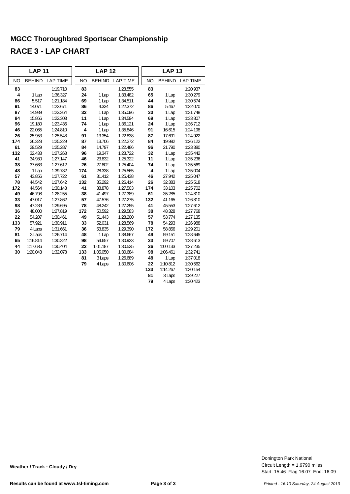|           | <b>LAP 11</b> |                        |           | <b>LAP 12</b> |                 |           | <b>LAP 13</b> |                 |
|-----------|---------------|------------------------|-----------|---------------|-----------------|-----------|---------------|-----------------|
| <b>NO</b> |               | <b>BEHIND LAP TIME</b> | <b>NO</b> |               | BEHIND LAP TIME | <b>NO</b> |               | BEHIND LAP TIME |
| 83        |               | 1:19.710               | 83        |               | 1:23.555        | 83        |               | 1:20.937        |
| 4         | 1 Lap         | 1:36.327               | 24        | 1 Lap         | 1:33.482        | 65        | 1 Lap         | 1:30.279        |
| 86        | 5.517         | 1:21.184               | 69        | 1 Lap         | 1:34.511        | 44        | 1 Lap         | 1:30.574        |
| 91        | 14.071        | 1:22.671               | 86        | 4.334         | 1:22.372        | 86        | 5.467         | 1:22.070        |
| 87        | 14.989        | 1:23.364               | 32        | 1 Lap         | 1:35.096        | 30        | 1 Lap         | 1:31.748        |
| 84        | 15.866        | 1:22.303               | 11        | 1 Lap         | 1:34.594        | 69        | 1 Lap         | 1:33.807        |
| 96        | 19.180        | 1:23.436               | 74        | 1 Lap         | 1:36.121        | 24        | 1 Lap         | 1:36.712        |
| 46        | 22.065        | 1:24.810               | 4         | 1 Lap         | 1:35.846        | 91        | 16.615        | 1:24.198        |
| 26        | 25.953        | 1:25.548               | 91        | 13.354        | 1:22.838        | 87        | 17.691        | 1:24.922        |
| 174       | 26.328        | 1:25.229               | 87        | 13.706        | 1:22.272        | 84        | 19.982        | 1:26.122        |
| 61        | 29.529        | 1:25.287               | 84        | 14.797        | 1:22.486        | 96        | 21.790        | 1:23.380        |
| 132       | 32.433        | 1:27.263               | 96        | 19.347        | 1:23.722        | 32        | 1 Lap         | 1:35.442        |
| 41        | 34.930        | 1:27.147               | 46        | 23.832        | 1:25.322        | 11        | 1 Lap         | 1:35.236        |
| 38        | 37.663        | 1:27.612               | 26        | 27.802        | 1:25.404        | 74        | 1 Lap         | 1:35.569        |
| 48        | 1 Lap         | 1:39.782               | 174       | 28.338        | 1:25.565        | 4         | 1 Lap         | 1:35.004        |
| 57        | 43.856        | 1:27.722               | 61        | 31.412        | 1:25.438        | 46        | 27.942        | 1:25.047        |
| 78        | 44.542        | 1:27.642               | 132       | 35.292        | 1:26.414        | 26        | 32.383        | 1:25.518        |
| 172       | 44.564        | 1:30.143               | 41        | 38.878        | 1:27.503        | 174       | 33.103        | 1:25.702        |
| 49        | 46.798        | 1:28.255               | 38        | 41.497        | 1:27.389        | 61        | 35.285        | 1:24.810        |
| 33        | 47.017        | 1:27.862               | 57        | 47.576        | 1:27.275        | 132       | 41.165        | 1:26.810        |
| 98        | 47.289        | 1:29.695               | 78        | 48.242        | 1:27.255        | 41        | 45.553        | 1:27.612        |
| 36        | 48.000        | 1:27.819               | 172       | 50.592        | 1:29.583        | 38        | 48.328        | 1:27.768        |
| 22        | 54.207        | 1:30.461               | 49        | 51.443        | 1:28.200        | 57        | 53.774        | 1:27.135        |
| 133       | 57.921        | 1:30.911               | 33        | 52.031        | 1:28.569        | 78        | 54.293        | 1:26.988        |
| 79        | 4 Laps        | 1:31.661               | 36        | 53.835        | 1:29.390        | 172       | 58.856        | 1:29.201        |
| 81        | 3 Laps        | 1:26.714               | 48        | 1 Lap         | 1:38.667        | 49        | 59.151        | 1:28.645        |
| 65        | 1:16.814      | 1:30.322               | 98        | 54.657        | 1:30.923        | 33        | 59.707        | 1:28.613        |
| 44        | 1:17.636      | 1:30.404               | 22        | 1:01.187      | 1:30.535        | 36        | 1:00.133      | 1:27.235        |
| 30        | 1:20.043      | 1:32.078               | 133       | 1:05.050      | 1:30.684        | 98        | 1:06.461      | 1:32.741        |
|           |               |                        | 81        | 3 Laps        | 1:26.689        | 48        | 1 Lap         | 1:37.018        |
|           |               |                        | 79        | 4 Laps        | 1:30.606        | 22        | 1:10.812      | 1:30.562        |
|           |               |                        |           |               |                 | 133       | 1:14.267      | 1:30.154        |
|           |               |                        |           |               |                 | 81        | 3 Laps        | 1:29.227        |
|           |               |                        |           |               |                 | 79        | 4 Laps        | 1:30.423        |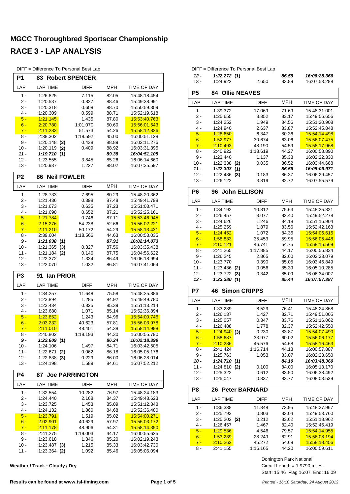|  | DIFF = Difference To Personal Best Lap |  |  |  |  |
|--|----------------------------------------|--|--|--|--|
|--|----------------------------------------|--|--|--|--|

| P1             | 83                                | <b>Robert SPENCER</b> |                |                              |
|----------------|-----------------------------------|-----------------------|----------------|------------------------------|
| LAP            | <b>LAP TIME</b>                   | DIFF                  | MPH            | TIME OF DAY                  |
| $1 -$          | 1:26.825                          | 7.115                 | 82.05          | 15:48:18.454                 |
| 2 -            | 1:20.537                          | 0.827                 | 88.46          | 15:49:38.991                 |
| 3 -            | 1:20.318                          | 0.608                 | 88.70          | 15:50:59.309                 |
| $4 -$          | 1:20.309                          | 0.599                 | 88.71          | 15:52:19.618                 |
| $5 -$          | 1:21.145                          | 1.435                 | 87.80          | 15:53:40.763                 |
| $6 -$          | 2:20.780                          | 1:01.070              | 50.60          | 15.56.01.543                 |
| $7 -$          | 2:11.283                          | 51.573                | 54.26          | 15:58:12.826                 |
| 8 -            | 2:38.302                          | 1:18.592              | 45.00          | 16:00:51.128<br>16:02:11.276 |
| 9 -<br>$10 -$  | $1:20.148$ (3)<br>1:20.119<br>(2) | 0.438<br>0.409        | 88.89<br>88.92 | 16:03:31.395                 |
| $11 -$         | 1:19.710(1)                       |                       | 89.38          | 16:04:51.105                 |
| $12 -$         | 1:23.555                          | 3.845                 | 85.26          | 16:06:14.660                 |
| $13 -$         | 1:20.937                          | 1.227                 | 88.02          | 16:07:35.597                 |
| P <sub>2</sub> | <b>Neil FOWLER</b><br>86          |                       |                |                              |
| LAP            | <b>LAP TIME</b>                   | DIFF                  | MPH            | TIME OF DAY                  |
| 1 -            | 1:28.733                          | 7.695                 | 80.29          | 15:48:20.362                 |
| 2 -            | 1:21.436                          | 0.398                 | 87.48          | 15:49:41.798                 |
| 3 -            | 1:21.673                          | 0.635                 | 87.23          | 15:51:03.471                 |
| $4 -$          | 1:21.690                          | 0.652                 | 87.21          | 15:52:25.161                 |
| $5 -$          | 1:21.784                          | 0.746                 | 87.11          | 15:53:46.945                 |
| $6 -$          | 2:15.276                          | 54.238                | 52.66          | 15:56:02.221                 |
| $7 -$          | 2:11.210                          | 50.172                | 54.29          | 15:58:13.431                 |
| 8 -            | 2:39.604                          | 1:18.566              | 44.63          | 16:00:53.035                 |
| $9-$           | 1:21.038(1)                       |                       | 87.91          | 16:02:14.073                 |
| $10 -$         | 1:21.365<br>(3)                   | 0.327                 | 87.56          | 16:03:35.438                 |
| 11 -           | 1:21.184<br>(2)                   | 0.146                 | 87.75          | 16:04:56.622                 |
| $12 -$         | 1:22.372                          | 1.334                 | 86.49          | 16:06:18.994                 |
| $13 -$         | 1:22.070                          | 1.032                 | 86.81          | 16:07:41.064                 |
| P3             | lan PRIOR<br>91                   |                       |                |                              |
| LAP            | <b>LAP TIME</b>                   | DIFF                  | <b>MPH</b>     | TIME OF DAY                  |
| $1 -$          | 1:34.257                          | 11.648                | 75.58          | 15:48:25.886                 |
| 2 -            | 1:23.894                          | 1.285                 | 84.92          | 15:49:49.780                 |
| 3 -<br>$4 -$   | 1:23.434<br>1:23.680              | 0.825<br>1.071        | 85.39<br>85.14 | 15:51:13.214<br>15:52:36.894 |
| $5 -$          | 1:23.852                          | 1.243                 | 84.96          | 15:54:00.746                 |
| $6 -$          | 2:03.232                          |                       |                |                              |
| $7 -$          |                                   |                       |                |                              |
|                |                                   | 40.623                | 57.81          | 15:56:03.978                 |
| 8 -            | 2:11.010<br>2:40.802              | 48.401<br>1:18.193    | 54.38          | 15:58:14.988<br>16:00:55.790 |
| 9 -            |                                   |                       | 44.30<br>86.24 | 16:02:18.399                 |
| $10 -$         | 1:22.609(1)<br>1:24.106           | 1.497                 | 84.71          | 16:03:42.505                 |
| $11 -$         | 1:22.671<br>(2)                   | 0.062                 | 86.18          | 16:05:05.176                 |
| 12 -           | 1:22.838<br>(3)                   | 0.229                 | 86.00          | 16:06:28.014                 |
| 13 -           | 1:24.198                          | 1.589                 | 84.61          | 16:07:52.212                 |
| <b>P4</b>      | 87                                | <b>Joe PARRINGTON</b> |                |                              |
| LAP            | <b>LAP TIME</b>                   | DIFF                  | <b>MPH</b>     | TIME OF DAY                  |
| 1 -            | 1:32.554                          | 10.282                | 76.97          | 15:48:24.183                 |
| 2 -            | 1:24.440                          | 2.168                 | 84.37          | 15:49:48.623                 |
| 3 -            | 1:23.725                          | 1.453                 | 85.09          | 15:51:12.348                 |
| 4 -            | 1:24.132                          | 1.860                 | 84.68          | 15:52:36.480                 |
| $5 -$          | 1:23.791                          | 1.519                 | 85.02          | 15:54:00.271                 |
| $6 -$          | 2:02.901                          | 40.629                | 57.97          | 15:56:03.172                 |
| $7 -$          | 2:11.178                          | 48.906                | 54.31          | 15:58:14.350                 |
| 8 -            | 2:41.275                          | 1:19.003              | 44.17          | 16:00:55.625                 |
| 9 -<br>$10 -$  | 1:23.618<br>1:23.487<br>(3)       | 1.346<br>1.215        | 85.20<br>85.33 | 16:02:19.243<br>16:03:42.730 |

**Weather / Track : Cloudy / Dry**

|            | To Personal Best Lap |                                |                                              | $DIFF =$             |
|------------|----------------------|--------------------------------|----------------------------------------------|----------------------|
|            | <b>pert SPENCER</b>  |                                |                                              | $12 -$               |
|            |                      |                                |                                              | $13 -$               |
| $\equiv$   | <b>DIFF</b>          | <b>MPH</b>                     | <b>TIME OF DAY</b>                           | P <sub>5</sub>       |
|            | 7.115<br>0.827       | 82.05<br>88.46                 | 15:48:18.454<br>15:49:38.991                 | LAP                  |
|            | 0.608<br>0.599       | 88.70<br>88.71                 | 15:50:59.309<br>15:52:19.618                 | 1 -                  |
|            | 1.435<br>1:01.070    | 87.80<br>50.60                 | 15:53:40.763<br>15:56:01.543                 | $2-$<br>$3 -$<br>4 - |
|            | 51.573<br>1:18.592   | 54.26<br>45.00                 | 15.58.12.826<br>16:00:51.128                 | $5 -$<br>$6 -$       |
| (3)<br>(2) | 0.438<br>0.409       | 88.89<br>88.92                 | 16:02:11.276<br>16:03:31.395                 | $7 -$<br>8 -         |
| (1)        | 3.845                | 89.38<br>85.26                 | 16:04:51.105<br>16:06:14.660                 | $9 -$                |
|            | 1.227                | 88.02                          | 16:07:35.597                                 | $10 -$<br>$11 -$     |
|            | <b>I FOWLER</b>      |                                |                                              | $12 -$<br>$13 -$     |
| $\equiv$   | <b>DIFF</b>          | <b>MPH</b>                     | TIME OF DAY                                  |                      |
|            | 7.695                | 80.29                          | 15:48:20.362                                 | P6                   |
|            | 0.398                | 87.48                          | 15:49:41.798                                 | LAP                  |
|            | 0.635<br>0.652       | 87.23<br>87.21                 | 15:51:03.471<br>15:52:25.161                 | $1 -$<br>$2 -$       |
|            | 0.746<br>54.238      | 87.11<br>52.66                 | 15:53:46.945<br>15:56:02.221                 | $3 -$<br>4 -         |
| (1)        | 50.172<br>1:18.566   | 54.29<br>44.63<br><b>87 Q1</b> | 15:58:13.431<br>16:00:53.035<br>16:02:14 073 | $5 -$<br>$6 -$       |
|            |                      |                                |                                              |                      |

| $5 -$          | 1:28.650                   | 6.347                | 80.36          | 15:54:14.498                 |
|----------------|----------------------------|----------------------|----------------|------------------------------|
| $6 -$          | 1:52.977                   | 30.674               | 63.06          | 15:56:07.475                 |
| $7 -$          | 2:10.493                   | 48.190               | 54.59          | 15:58:17.968                 |
| 8 -            | 2:40.922                   | 1:18.619             | 44.27          | 16:00:58.890                 |
| $9 -$          | 1:23.440                   | 1.137                | 85.38          | 16:02:22.330                 |
| $10 -$         | 1:22.338<br>(2)            | 0.035                | 86.52          | 16:03:44.668                 |
| $11 -$         | 1:22.303<br>(1)            |                      | 86.56          | 16:05:06.971                 |
| $12 -$         | 1:22.486<br>(3)            | 0.183                | 86.37          | 16:06:29.457                 |
| $13 -$         | 1:26.122                   | 3.819                | 82.72          | 16:07:55.579                 |
| P6             | <b>John ELLISON</b><br>96  |                      |                |                              |
| LAP            | <b>LAP TIME</b>            | <b>DIFF</b>          | <b>MPH</b>     | <b>TIME OF DAY</b>           |
| $1 -$          | 1:34.192                   | 10.812               | 75.63          | 15:48:25.821                 |
| $2 -$          | 1:26.457                   | 3.077                | 82.40          | 15:49:52.278                 |
| $3 -$          | 1:24.626                   | 1.246                | 84.18          | 15:51:16.904                 |
| 4 -            | 1:25.259                   | 1.879                | 83.56          | 15:52:42.163                 |
| $5 -$          | 1:24.452                   | 1.072                | 84.36          | 15:54:06.615                 |
| $6 -$          | 1:58.833                   | 35.453               | 59.95          | 15:56:05.448                 |
| $7 -$          | 2:10.121                   | 46.741               | 54.75          | 15:58:15.569                 |
| 8 -            | 2:41.265                   | 1:17.885             | 44.17          | 16:00:56.834                 |
| $9 -$          | 1:26.245                   | 2.865                | 82.60          | 16:02:23.079                 |
| $10 -$         | 1:23.770                   | 0.390                | 85.05          | 16:03:46.849                 |
| 11 -           | 1:23.436<br>(2)            | 0.056                | 85.39          | 16:05:10.285                 |
| $12 -$         | 1:23.722<br>(3)            | 0.342                | 85.09          | 16:06:34.007                 |
| 13 -           | 1:23.380(1)                |                      | 85.44          | 16:07:57.387                 |
|                |                            |                      |                |                              |
| P7             | <b>Simon CRIPPS</b><br>46  |                      |                |                              |
| LAP            | <b>LAP TIME</b>            | <b>DIFF</b>          | <b>MPH</b>     | <b>TIME OF DAY</b>           |
| $1 -$          |                            | 8.529                |                | 15:48:24.868                 |
| $2 -$          | 1:33.239<br>1:26.137       | 1.427                | 76.41<br>82.71 | 15:49:51.005                 |
| 3 -            | 1:25.057                   | 0.347                | 83.76          | 15:51:16.062                 |
| 4 -            | 1:26.488                   | 1.778                | 82.37          | 15:52:42.550                 |
| $5 -$          |                            |                      | 83.87          | 15:54:07.490                 |
| $6 -$          | 1:24.940(3)<br>1:58.687    | 0.230<br>33.977      | 60.02          | 15:56:06.177                 |
| $7 -$          | 2:10.286                   | 45.576               | 54.68          | 15:58:16.463                 |
| 8 -            | 2:41.424                   | 1:16.714             | 44.13          | 16:00:57.887                 |
| $9 -$          | 1:25.763                   | 1.053                | 83.07          | 16:02:23.650                 |
| 10 -           | 1:24.710(1)                |                      | 84.10          | 16:03:48.360                 |
| $11 -$         | 1:24.810<br>(2)            | 0.100                | 84.00          | 16:05:13.170                 |
| $12 -$         | 1:25.322                   | 0.612                | 83.50          | 16:06:38.492                 |
| $13 -$         | 1:25.047                   | 0.337                | 83.77          | 16:08:03.539                 |
| P8             | 26                         | <b>Peter BARNARD</b> |                |                              |
| LAP            | <b>LAP TIME</b>            | <b>DIFF</b>          | <b>MPH</b>     | <b>TIME OF DAY</b>           |
| $1 -$          |                            |                      |                |                              |
|                | 1:36.338                   | 11.348               | 73.95          | 15:48:27.967                 |
| $2 -$<br>$3 -$ | 1:25.793                   | 0.803                | 83.04          | 15:49:53.760                 |
| 4 -            | $1:25.202$ (2)<br>1:26.457 | 0.212<br>1.467       | 83.62<br>82.40 | 15:51:18.962<br>15:52:45.419 |

6 - 1:53.239 28.249 62.91 15:56:08.194 7 - 2:10.262 - 45.272 - 54.69 <mark>- 15:58:18.456</mark><br>1116.165 - 44.20 - 16:00:59.611 - 16:00

Difference To Personal Best Lap

**P5 84 Ollie NEAVES**

**1:22.272 (1) 86.59 16:06:28.366**<br>1:24.922 2.650 83.89 16:07:53.288

LAP TIME DIFF MPH TIME OF DAY 1:39.372 17.069 71.69 15:48:31.001 1:25.655 3.352 83.17 15:49:56.656<br>1:24.252 1.949 84.56 15:51:20.908 3 - 1:24.252 1.949 15:51:20.908 84.56 1:24.940 2.637 83.87 15:52:45.848<br><mark>1:28.650</mark> 6.347 80.36 <mark>1:5:54:14.498</mark>

16:07:53.288

Start: 15:46 Flag 16:07 End: 16:09 Circuit Length = 1.9790 miles Donington Park National

16:00:59.611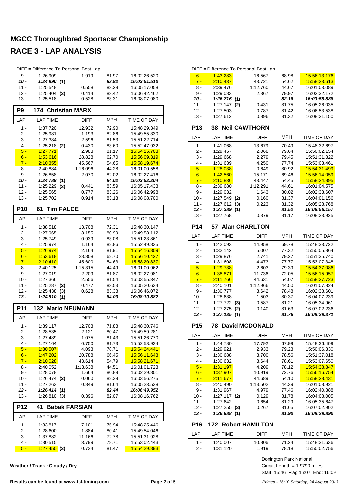|                | DIFF = Difference To Personal Best Lap |                  |                |                              |
|----------------|----------------------------------------|------------------|----------------|------------------------------|
| 9 -            | 1:26.909                               | 1.919            | 81.97          | 16:02:26.520                 |
| $10 -$         | 1:24.990(1)                            |                  | 83.82          | 16:03:51.510                 |
| $11 -$         | 1:25.548                               | 0.558            | 83.28          | 16:05:17.058                 |
| $12 -$         | $1:25.404$ (3)                         | 0.414            | 83.42          | 16:06:42.462                 |
| $13 -$         | 1:25.518                               | 0.528            | 83.31          | 16:08:07.980                 |
| P <sub>9</sub> | <b>174 Christian MARX</b>              |                  |                |                              |
| LAP            | <b>LAP TIME</b>                        | <b>DIFF</b>      | <b>MPH</b>     | TIME OF DAY                  |
| $1 -$          | 1:37.720                               | 12.932           | 72.90          | 15:48:29.349                 |
| 2 -            | 1:25.981                               | 1.193            | 82.86          | 15:49:55.330                 |
| 3 -            | 1:27.384                               | 2.596            | 81.53          | 15:51:22.714                 |
| 4 -            | 1:25.218<br>(2)                        | 0.430            | 83.60          | 15:52:47.932                 |
| $5 -$          | 1:27.771                               | 2.983            | 81.17          | 15:54:15.703                 |
| $6 -$<br>$7 -$ | 1:53.616<br>2:10.355                   | 28.828<br>45.567 | 62.70<br>54.65 | 15:56:09.319<br>15:58:19.674 |
| 8 -            | 2:40.884                               | 1:16.096         | 44.28          | 16:01:00.558                 |
| 9 -            | 1:26.858                               | 2.070            | 82.02          | 16:02:27.416                 |
| 10 -           | 1:24.788(1)                            |                  | 84.02          | 16:03:52.204                 |
| $11 -$         | $1:25.229$ (3)                         | 0.441            | 83.59          | 16:05:17.433                 |
| $12 -$         | 1:25.565                               | 0.777            | 83.26          | 16:06:42.998                 |
| 13 -           | 1:25.702                               | 0.914            | 83.13          | 16:08:08.700                 |
| <b>P10</b>     | <b>Tim FALCE</b><br>61                 |                  |                |                              |
| LAP            | <b>LAP TIME</b>                        | <b>DIFF</b>      | <b>MPH</b>     | TIME OF DAY                  |
| $1 -$          | 1:38.518                               | 13.708           | 72.31          | 15:48:30.147                 |
| 2 -            | 1:27.965                               | 3.155            | 80.99          | 15:49:58.112                 |
| 3 -            | 1:25.749                               | 0.939            | 83.08          | 15:51:23.861                 |
| 4 -            | 1:25.974                               | 1.164            | 82.86          | 15:52:49.835                 |
| $5 -$          | 1:26.974                               | 2.164            | 81.91          | 15:54:16.809                 |
| $6 -$          | 1:53.618                               | 28.808           | 62.70          | 15:56:10.427                 |
| $7 -$          | 2:10.410                               | 45.600           | 54.63          | 15:58:20.837                 |
| 8 -            | 2:40.125                               | 1:15.315         | 44.49          | 16:01:00.962                 |
|                |                                        |                  |                |                              |
| 9 -            | 1:27.019                               | 2.209            | 81.87          | 16:02:27.981                 |
| 10 -           | 1:27.366                               | 2.556            | 81.54          | 16:03:55.347                 |
| $11 -$         | 1:25.287<br>(2)                        | 0.477            | 83.53          | 16:05:20.634                 |
| 12 -<br>13 -   | 1:25.438<br>(3)<br>1:24.810(1)         | 0.628            | 83.38<br>84.00 | 16:06:46.072<br>16:08:10.882 |
| <b>P11</b>     |                                        |                  |                |                              |
|                | 132 Mario NEUMANN                      |                  | <b>MPH</b>     | TIME OF DAY                  |
| LAP            | <b>LAP TIME</b>                        | DIFF             |                |                              |
| $1 -$          | 1:39.117                               | 12.703           | 71.88          | 15:48:30.746                 |
| 2 -            | 1:28.535                               | 2.121            | 80.47          | 15:49:59.281                 |
| $3 -$<br>4 -   | 1:27.489<br>1:27.164                   | 1.075<br>0.750   | 81.43<br>81.73 | 15:51:26.770<br>15:52:53.934 |
| $5 -$          | <u>1:30.507</u>                        | 4.093            | 78.71          | 15:54:24.441                 |
| $6 -$          | <u>1:47.202</u>                        | 20.788           | 66.45          | 15:56:11.643                 |
| $7 -$          | <u>2:10.028</u>                        | 43.614           | 54.79          | <u>15:58:21.671</u>          |
| 8 -            | 2:40.052                               | 1:13.638         | 44.51          | 16:01:01.723                 |
| 9 -            | 1:28.078                               | 1.664            | 80.89          | 16:02:29.801                 |
| 10 -           | $1:26.474$ (2)                         | 0.060            | 82.39          | 16:03:56.275                 |
| $11 -$         | 1:27.263                               | 0.849            | 81.64          | 16:05:23.538                 |
| 12 -           | 1:26.414(1)                            |                  | 82.44          | 16:06:49.952                 |
| 13 -           | 1:26.810(3)                            | 0.396            | 82.07          | 16:08:16.762                 |
| <b>P12</b>     | <b>Babak FARSIAN</b><br>41             |                  |                |                              |
| LAP            | <b>LAP TIME</b>                        | DIFF             | MPH            | TIME OF DAY                  |
| $1 -$          | 1:33.817                               | 7.101            | 75.94          | 15:48:25.446                 |
| $2 -$          | 1:28.600                               | 1.884            | 80.41          | 15:49:54.046                 |
| 3 -            | 1:37.882                               | 11.166           | 72.78          | 15:51:31.928                 |
| 4 -<br>$5 -$   | 1:30.515<br>1:27.450(3)                | 3.799<br>0.734   | 78.71<br>81.47 | 15:53:02.443<br>15:54:29.893 |

| Weather / Track: Cloudy / Dry |  |  |  |  |
|-------------------------------|--|--|--|--|
|-------------------------------|--|--|--|--|

|                 | DIFF = Difference To Personal Best Lap |                       |                |                              |
|-----------------|----------------------------------------|-----------------------|----------------|------------------------------|
| $6 -$           | 1:43.283                               | 16.567                | 68.98          | 15.56.13.176                 |
| $7 -$           | 2:10.437                               | 43.721                | 54.62          | 15.58:23.613                 |
| 8 -             | 2:39.476                               | 1:12.760              | 44.67          | 16:01:03.089                 |
| 9 -             | 1:29.083                               | 2.367                 | 79.97          | 16:02:32.172                 |
| 10 -            | 1:26.716(1)                            |                       | 82.16          | 16:03:58.888                 |
| 11 -            | 1:27.147<br>(2)                        | 0.431                 | 81.75          | 16:05:26.035                 |
| $12 -$          | 1:27.503                               | 0.787                 | 81.42          | 16:06:53.538                 |
| 13 -            | 1:27.612                               | 0.896                 | 81.32          | 16:08:21.150                 |
| <b>P13</b>      | <b>38 Neil CAWTHORN</b>                |                       |                |                              |
| LAP             | <b>LAP TIME</b>                        | <b>DIFF</b>           | <b>MPH</b>     | <b>TIME OF DAY</b>           |
| $1 -$           | 1:41.068                               | 13.679                | 70.49          | 15:48:32.697                 |
| $2-$            | 1:29.457                               | 2.068                 | 79.64          | 15:50:02.154                 |
| 3 -             | 1:29.668                               | 2.279                 | 79.45          | 15:51:31.822                 |
| $4 -$           | 1:31.639                               | 4.250                 | 77.74          | 15:53:03.461                 |
| $5 -$           | 1:28.038                               | 0.649                 | 80.92          | 15:54:31.499                 |
| $6 -$           | 1:42.560                               | 15.171                | 69.46          | 15:56:14.059                 |
| $7 -$           | 2:10.836                               | 43.447                | 54.45          | 15:58:24.895                 |
| 8 -             | 2:39.680                               | 1:12.291              | 44.61          | 16:01:04.575                 |
| 9 -             | 1:29.032                               | 1.643                 | 80.02          | 16:02:33.607                 |
| $10 -$          | 1:27.549<br>(2)                        | 0.160                 | 81.37          | 16:04:01.156                 |
| $11 -$          | 1:27.612<br>(3)                        | 0.223                 | 81.32          | 16:05:28.768                 |
| $12 -$          | 1:27.389 (1)                           |                       | 81.52          | 16:06:56.157                 |
| $13 -$          | 1:27.768                               | 0.379                 | 81.17          | 16:08:23.925                 |
| P <sub>14</sub> | 57 Alan CHARLTON                       |                       |                |                              |
| LAP             | <b>LAP TIME</b>                        | <b>DIFF</b>           | MPH            | TIME OF DAY                  |
| $1 -$           | 1:42.093                               | 14.958                | 69.78          | 15:48:33.722                 |
| $2 -$           | 1:32.142                               | 5.007                 | 77.32          | 15:50:05.864                 |
| 3 -             | 1:29.876                               | 2.741                 | 79.27          | 15:51:35.740                 |
| $4 -$           | 1:31.608                               | 4.473                 | 77.77          | 15:53:07.348                 |
| $5 -$           | 1:29.738                               | 2.603                 | 79.39          | 15:54:37.086                 |
| $6 -$           | 1:38.871                               | 11.736                | 72.05          | 15:56:15.957                 |
| $7 -$           | 2:11.766                               | 44.631                | 54.07          | 15:58:27.723                 |
| 8 -             | 2:40.101                               | 1:12.966              | 44.50          | 16:01:07.824                 |
| 9 -             | 1:30.777                               | 3.642                 | 78.48          | 16:02:38.601                 |
| $10 -$          | 1:28.638                               | 1.503                 | 80.37          | 16:04:07.239                 |
| 11 -            | 1:27.722<br>(3)                        | 0.587                 | 81.21          | 16:05:34.961                 |
| 12 -<br>13 -    | 1:27.275<br>(2)<br>1:27.135(1)         | 0.140                 | 81.63<br>81.76 | 16:07:02.236<br>16:08:29.371 |
| P <sub>15</sub> | 78                                     | <b>David MCDONALD</b> |                |                              |
| LAP             | <b>LAP TIME</b>                        | DIFF                  | MPH            | TIME OF DAY                  |
| 1 -             | 1:44.780                               | 17.792                | 67.99          | 15:48:36.409                 |
| 2 -             | 1:29.921                               | 2.933                 | 79.23          | 15:50:06.330                 |
| 3 -             | 1:30.688                               | 3.700                 | 78.56          | 15:51:37.018                 |
| 4 -             | 1:30.632                               | 3.644                 | 78.61          | 15:53:07.650                 |
| $5 -$           | <u>1:31.197</u>                        | 4.209                 | 78.12          | 15:54:38.847                 |
| $6 -$           | 1:37.907                               | 10.919                | 72.76          | 15:56:16.754                 |
| $7 -$           | 2:11.677                               | 44.689                | 54.10          | 15.58.28.431                 |
| 8 -             | 2:40.490                               | 1:13.502              | 44.39          | 16:01:08.921                 |
| 9 -             | 1:31.967                               | 4.979                 | 77.46          | 16:02:40.888                 |
| 10 -            | $1:27.117$ (2)                         | 0.129                 | 81.78          | 16:04:08.005                 |
| 11 -            | 1:27.642                               | 0.654                 | 81.29          | 16:05:35.647                 |
| $12 -$          | 1:27.255<br>(3)                        | 0.267                 | 81.65          | 16:07:02.902                 |
| 13 -            | 1:26.988(1)                            |                       | 81.90          | 16:08:29.890                 |
| <b>P16</b>      | <b>172 Robert HAMILTON</b>             |                       |                |                              |
|                 |                                        |                       |                |                              |
| LAP             | <b>LAP TIME</b>                        | <b>DIFF</b>           | MPH            | TIME OF DAY                  |
| 1 -             | 1:40.007<br>1:31.120                   | 10.806<br>1.919       | 71.24<br>78.18 | 15:48:31.636                 |

Start: 15:46 Flag 16:07 End: 16:09 Circuit Length = 1.9790 miles Donington Park National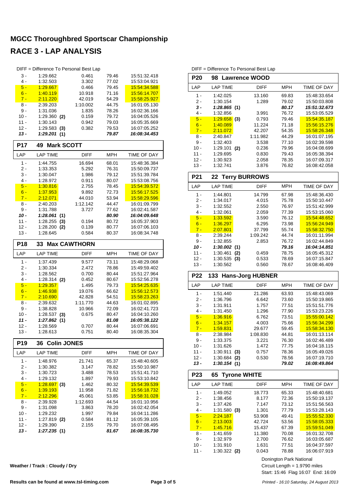| DIFF = Difference To Personal Best Lap |                          |     |                     |                |                              |  |  |  |  |  |  |
|----------------------------------------|--------------------------|-----|---------------------|----------------|------------------------------|--|--|--|--|--|--|
| 3 -                                    | 1:29.662                 |     | 0.461               | 79.46          | 15:51:32.418                 |  |  |  |  |  |  |
| 4 -                                    | 1:32.503                 |     | 3.302               | 77.02          | 15:53:04.921                 |  |  |  |  |  |  |
| $5 -$                                  | 1:29.667                 |     | 0.466               | 79.45          | 15:54:34.588                 |  |  |  |  |  |  |
| $6 -$                                  | <u>1:40.119</u>          |     | 10.918              | 71.16          | 15:56:14.707                 |  |  |  |  |  |  |
| $7 -$                                  | 2:11.220                 |     | 42.019              | 54.29          | 15:58:25.927                 |  |  |  |  |  |  |
| 8 -                                    | 2:39.203                 |     | 1:10.002            | 44.75          | 16:01:05.130                 |  |  |  |  |  |  |
| 9 -<br>$10 -$                          | 1:31.036                 |     | 1.835               | 78.26          | 16:02:36.166                 |  |  |  |  |  |  |
| 11 -                                   | 1:29.360<br>1:30.143     | (2) | 0.159<br>0.942      | 79.72<br>79.03 | 16:04:05.526<br>16:05:35.669 |  |  |  |  |  |  |
| $12 -$                                 | 1:29.583                 | (3) | 0.382               | 79.53          | 16:07:05.252                 |  |  |  |  |  |  |
| 13 -                                   | 1:29.201                 | (1) |                     | 79.87          | 16:08:34.453                 |  |  |  |  |  |  |
| <b>P17</b>                             | <b>Mark SCOTT</b><br>49  |     |                     |                |                              |  |  |  |  |  |  |
| LAP                                    | <b>LAP TIME</b>          |     | <b>DIFF</b>         | MPH            | TIME OF DAY                  |  |  |  |  |  |  |
| $1 -$                                  | 1:44.755                 |     | 16.694              | 68.01          | 15:48:36.384                 |  |  |  |  |  |  |
| 2 -                                    | 1:33.353                 |     | 5.292               | 76.31          | 15:50:09.737                 |  |  |  |  |  |  |
| 3 -                                    | 1:30.047                 |     | 1.986               | 79.12          | 15:51:39.784                 |  |  |  |  |  |  |
| 4 -                                    | 1:28.972                 |     | 0.911               | 80.07          | 15:53:08.756                 |  |  |  |  |  |  |
| $5 -$                                  | 1:30.816                 |     | 2.755               | 78.45          | 15:54:39.572                 |  |  |  |  |  |  |
| $6 -$                                  | 1:37.953                 |     | 9.892               | 72.73          | 15:56:17.525                 |  |  |  |  |  |  |
| $7 -$                                  | 2:12.071                 |     | 44.010              | 53.94          | 15:58:29.596                 |  |  |  |  |  |  |
| 8 -                                    | 2:40.203                 |     | 1:12.142            | 44.47          | 16:01:09.799                 |  |  |  |  |  |  |
| 9 -                                    | 1:31.788                 |     | 3.727               | 77.62          | 16:02:41.587                 |  |  |  |  |  |  |
| $10 -$                                 | 1:28.061                 | (1) |                     | 80.90          | 16:04:09.648                 |  |  |  |  |  |  |
| $11 -$                                 | 1:28.255                 | (3) | 0.194               | 80.72          | 16:05:37.903                 |  |  |  |  |  |  |
| 12 -                                   | 1:28.200                 | (2) | 0.139               | 80.77          | 16:07:06.103                 |  |  |  |  |  |  |
| $13 -$                                 | 1:28.645                 |     | 0.584               | 80.37          | 16:08:34.748                 |  |  |  |  |  |  |
| <b>P18</b>                             | 33                       |     | <b>Max CAWTHORN</b> |                |                              |  |  |  |  |  |  |
| LAP                                    | <b>LAP TIME</b>          |     | <b>DIFF</b>         | MPH            | TIME OF DAY                  |  |  |  |  |  |  |
| $1 -$                                  | 1:37.439                 |     | 9.577               | 73.11          | 15:48:29.068                 |  |  |  |  |  |  |
| 2 -                                    | 1:30.334                 |     | 2.472               | 78.86          | 15:49:59.402                 |  |  |  |  |  |  |
| 3 -                                    | 1:28.562                 |     | 0.700               | 80.44          | 15:51:27.964                 |  |  |  |  |  |  |
| 4 -                                    | 1:28.314                 | (2) |                     |                |                              |  |  |  |  |  |  |
| $5 -$                                  |                          |     | 0.452               | 80.67          | 15:52:56.278                 |  |  |  |  |  |  |
|                                        | 1:29.357                 |     | 1.495               | 79.73          | 15:54:25.635                 |  |  |  |  |  |  |
| $6 -$                                  | 1:46.938                 |     | 19.076              | 66.62          | 15:56:12.573                 |  |  |  |  |  |  |
| $7 -$                                  | 2:10.690                 |     | 42.828              | 54.51          | 15:58:23.263                 |  |  |  |  |  |  |
| 8 -                                    | 2:39.632                 |     | 1:11.770            | 44.63          | 16:01:02.895                 |  |  |  |  |  |  |
| 9 -                                    | 1:38.828                 |     | 10.966              | 72.09          | 16:02:41.723                 |  |  |  |  |  |  |
| 10 -                                   | 1:28.537                 | (3) | 0.675               | 80.47          | 16:04:10.260                 |  |  |  |  |  |  |
| 11 -                                   | 1:27.862                 | (1) |                     | 81.08          | 16:05:38.122                 |  |  |  |  |  |  |
| 12 -                                   | 1:28.569                 |     | 0.707               | 80.44          | 16:07:06.691                 |  |  |  |  |  |  |
| 13 -                                   | 1:28.613                 |     | 0.751               | 80.40          | 16:08:35.304                 |  |  |  |  |  |  |
| P19                                    | 36 Colin JONES           |     |                     |                |                              |  |  |  |  |  |  |
| LAP                                    | <b>LAP TIME</b>          |     | <b>DIFF</b>         | <b>MPH</b>     | TIME OF DAY                  |  |  |  |  |  |  |
| $1 -$                                  | 1:48.976                 |     | 21.741              | 65.37          | 15:48:40.605                 |  |  |  |  |  |  |
| 2 -                                    | 1:30.382                 |     | 3.147               | 78.82          | 15:50:10.987                 |  |  |  |  |  |  |
| 3 -                                    | 1:30.723                 |     | 3.488               | 78.53          | 15:51:41.710                 |  |  |  |  |  |  |
| 4 -                                    | 1:29.132                 |     | 1.897               | 79.93          | 15:53:10.842                 |  |  |  |  |  |  |
| $5 -$                                  | $1:28.697$ (3)           |     | 1.462               | 80.32          | 15:54:39.539                 |  |  |  |  |  |  |
| $6 -$                                  | 1:39.193                 |     | 11.958              | 71.82          | 15:56:18.732                 |  |  |  |  |  |  |
| $7 -$                                  | <u>2:12.296</u>          |     | 45.061              | 53.85<br>44.54 | 15:58:31.028<br>16:01:10.956 |  |  |  |  |  |  |
| $8 -$<br>9 -                           | 2:39.928                 |     | 1:12.693            |                |                              |  |  |  |  |  |  |
| 10 -                                   | 1:31.098<br>1:29.232     |     | 3.863<br>1.997      | 78.20<br>79.84 | 16:02:42.054<br>16:04:11.286 |  |  |  |  |  |  |
| 11 -                                   |                          |     | 0.584               | 81.12          | 16:05:39.105                 |  |  |  |  |  |  |
| 12 -                                   | 1:27.819 (2)<br>1:29.390 |     | 2.155               | 79.70          | 16:07:08.495                 |  |  |  |  |  |  |
| 13 -                                   | 1:27.235(1)              |     |                     | 81.67          | 16:08:35.730                 |  |  |  |  |  |  |

DIFF = Difference To Personal Best Lap

| P <sub>20</sub> | 98                         | <b>Lawrence WOOD</b> |                         |                              |
|-----------------|----------------------------|----------------------|-------------------------|------------------------------|
| LAP             | <b>LAP TIME</b>            | <b>DIFF</b>          | <b>MPH</b>              | TIME OF DAY                  |
| 1 -             | 1:42.025                   | 13.160               | 69.83                   | 15:48:33.654                 |
| 2 -             | 1:30.154                   | 1.289                | 79.02                   | 15:50:03.808                 |
| $3 -$           | 1:28.865(1)                |                      | 80.17                   | 15:51:32.673                 |
| 4 -<br>$5 -$    | 1:32.856<br>$1:29.658$ (3) | 3.991<br>0.793       | 76.72<br>79.46          | 15:53:05.529<br>15:54:35.187 |
| $6 -$           | 1:40.089                   | 11.224               | 71.18                   | 15:56:15.276                 |
| $7 -$           | 2:11.072                   | 42.207               | 54.35                   | 15:58:26.348                 |
| 8 -             | 2:40.847                   | 1:11.982             | 44.29                   | 16:01:07.195                 |
| 9 -             | 1:32.403                   | 3.538                | 77.10                   | 16:02:39.598                 |
| $10 -$          | 1:29.101                   | 0.236<br>(2)         | 79.96                   | 16:04:08.699                 |
| 11 -<br>$12 -$  | 1:29.695<br>1:30.923       | 0.830<br>2.058       | 79.43<br>78.35          | 16:05:38.394<br>16:07:09.317 |
| $13 -$          | 1:32.741                   | 3.876                | 76.82                   | 16:08:42.058                 |
|                 |                            |                      |                         |                              |
| P21             | 22                         | <b>Terry BURROWS</b> |                         |                              |
| LAP             | <b>LAP TIME</b>            | DIFF                 | <b>MPH</b>              | TIME OF DAY                  |
| $1 -$           | 1:44.801                   | 14.799               | 67.98                   | 15:48:36.430                 |
| $2-$<br>$3 -$   | 1:34.017                   | 4.015                | 75.78                   | 15:50:10.447                 |
| $4 -$           | 1:32.552<br>1:32.061       | 2.550<br>2.059       | 76.97<br>77.39          | 15:51:42.999<br>15:53:15.060 |
| $5 -$           | 1:33.592                   | 3.590                | 76.12                   | 15:54:48.652                 |
| $6 -$           | 1:36.297                   | 6.295                | 73.98                   | 15:56:24.949                 |
| $7 -$           | 2:07.801                   | 37.799               | 55.74                   | 15:58:32.750                 |
| 8 -             | 2:39.244                   | 1:09.242             | 44.74                   | 16:01:11.994                 |
| 9 -             | 1:32.855                   | 2.853                | 76.72                   | 16:02:44.849                 |
| $10 -$<br>11 -  | 1:30.002(1)<br>1:30.461    | 0.459<br>(2)         | 79.16<br>78.75          | 16:04:14.851<br>16:05:45.312 |
| $12 -$          | 1:30.535                   | 0.533<br>(3)         | 78.69                   | 16:07:15.847                 |
| $13 -$          | 1:30.562                   | 0.560                | 78.67                   | 16:08:46.409                 |
|                 |                            |                      |                         |                              |
| P <sub>22</sub> |                            | 133 Hans-Jorg HUBNER |                         |                              |
| LAP             | <b>LAP TIME</b>            | <b>DIFF</b>          | <b>MPH</b>              | TIME OF DAY                  |
| $1 -$           | 1:51.440                   |                      | 63.93                   | 15:48:43.069                 |
| $2-$            | 1:36.796                   | 21.286<br>6.642      | 73.60                   | 15:50:19.865                 |
| $3 -$           | 1:31.911                   | 1.757                | 77.51                   | 15:51:51.776                 |
| 4 -             | 1:31.450                   | 1.296                | 77.90                   | 15:53:23.226                 |
| $5 -$           | <u>1:36.916</u>            | 6.762                | 73.51                   | 15:55:00.142                 |
| $6 -$           | 1:34.157                   | 4.003                | 75.66                   | 15:56:34.299                 |
| $7 -$<br>8 -    | 1:59.831<br>2:38.984       | 29.677<br>1:08.830   | 59.45<br>44.81          | 15:58:34.130<br>16:01:13.114 |
| 9 -             | 1:33.375                   | 3.221                | 76.30                   | 16:02:46.489                 |
| $10 -$          | 1:31.626                   | 1.472                | 77.75                   | 16:04:18.115                 |
| $11 -$          | 1:30.911                   | 0.757<br>(3)         | 78.36                   | 16:05:49.026                 |
| $12 -$<br>13 -  | 1:30.684<br>1:30.154(1)    | 0.530<br>(2)         | 78.56<br>79.02          | 16:07:19.710<br>16:08:49.864 |
|                 |                            |                      |                         |                              |
| P <sub>23</sub> | 65                         | <b>Tyrone WHITE</b>  |                         |                              |
| LAP             | <b>LAP TIME</b>            | <b>DIFF</b>          | <b>MPH</b>              | TIME OF DAY                  |
| 1 -<br>2 -      | 1:49.052                   | 18.773               | 65.33                   | 15:48:40.681                 |
| 3 -             | 1:38.456<br>1:37.426       | 8.177<br>7.147       | 72.36<br>73.12          | 15:50:19.137<br>15:51:56.563 |
| 4 -             | $1:31.580$ (3)             | 1.301                | 77.79                   | 15:53:28.143                 |
| $5 -$           | 2:24.187                   | 53.908               | 49.41                   | 15:55:52.330                 |
| $6 -$           | 2:13.003                   | 42.724               | 53.56                   | 15:58:05.333                 |
| $7 -$           | 1:45.716                   | 15.437               | 67.39                   | 15:59:51.049                 |
| 8 -             | 1:41.659                   | 11.380               | 70.08                   | 16:01:32.708                 |
| 9 -<br>$10 -$   | 1:32.979<br>1:31.910       | 2.700<br>1.631       | 76.62<br>77.51          | 16:03:05.687<br>16:04:37.597 |
| $11 -$          | $1:30.322$ (2)             | 0.043                | 78.88                   | 16:06:07.919                 |
|                 |                            |                      | Donington Park National |                              |

**Weather / Track : Cloudy / Dry**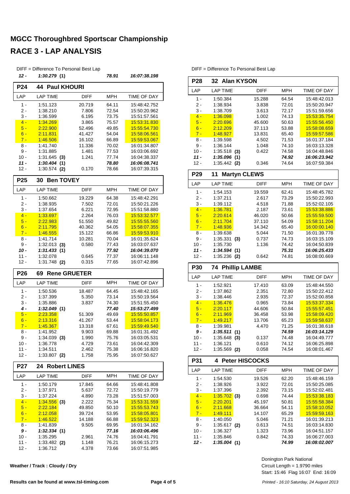| DIFF = Difference To Personal Best Lap |                            |                  |                |                              |  |  |  |  |  |
|----------------------------------------|----------------------------|------------------|----------------|------------------------------|--|--|--|--|--|
| 12 -                                   | 1:30.279(1)                |                  | 78.91          | 16:07:38.198                 |  |  |  |  |  |
| <b>P24</b>                             | 44<br><b>Paul KHOURI</b>   |                  |                |                              |  |  |  |  |  |
| LAP                                    | <b>LAP TIME</b>            | <b>DIFF</b>      | <b>MPH</b>     | TIME OF DAY                  |  |  |  |  |  |
| $1 -$                                  | 1:51.123                   | 20.719           | 64.11          | 15:48:42.752                 |  |  |  |  |  |
| 2 -                                    | 1:38.210                   | 7.806            | 72.54          | 15:50:20.962                 |  |  |  |  |  |
| 3 -                                    | 1:36.599                   | 6.195            | 73.75          | 15:51:57.561                 |  |  |  |  |  |
| $4 -$                                  | 1:34.269                   | 3.865            | 75.57          | 15:53:31.830                 |  |  |  |  |  |
| $5 -$                                  | 2:22.900                   | 52.496           | 49.85          | 15:55:54.730                 |  |  |  |  |  |
| $6 -$                                  | <u>2:11.831</u>            | 41.427           | 54.04          | 15:58:06.561                 |  |  |  |  |  |
| $7 -$                                  | 1:46.506                   | 16.102           | 66.89          | 15:59:53.067                 |  |  |  |  |  |
| 8 -                                    | 1:41.740                   | 11.336           | 70.02          | 16:01:34.807                 |  |  |  |  |  |
| 9 -<br>10 -                            | 1:31.885<br>$1:31.645$ (3) | 1.481<br>1.241   | 77.53<br>77.74 | 16:03:06.692<br>16:04:38.337 |  |  |  |  |  |
| $11 -$                                 | 1:30.404(1)                |                  | 78.80          | 16:06:08.741                 |  |  |  |  |  |
| 12 -                                   | $1:30.574$ (2)             | 0.170            | 78.66          | 16:07:39.315                 |  |  |  |  |  |
| P <sub>25</sub>                        | <b>Ben TOVEY</b><br>30     |                  |                |                              |  |  |  |  |  |
| LAP                                    |                            |                  |                |                              |  |  |  |  |  |
|                                        | <b>LAP TIME</b>            | <b>DIFF</b>      | MPH            | <b>TIME OF DAY</b>           |  |  |  |  |  |
| $1 -$                                  | 1:50.662                   | 19.229           | 64.38          | 15:48:42.291                 |  |  |  |  |  |
| $2 -$                                  | 1:38.935                   | 7.502            | 72.01          | 15:50:21.226                 |  |  |  |  |  |
| 3 -<br>$4 -$                           | 1:37.654<br>1:33.697       | 6.221<br>2.264   | 72.95          | 15:51:58.880<br>15:53:32.577 |  |  |  |  |  |
| $5 -$                                  | 2:22.983                   | 51.550           | 76.03<br>49.82 | 15:55:55.560                 |  |  |  |  |  |
| $6 -$                                  | 2:11.795                   | 40.362           | 54.05          | 15.58:07.355                 |  |  |  |  |  |
| $7 -$                                  | 1:46.555                   | 15.122           | 66.86          | 15:59:53.910                 |  |  |  |  |  |
| 8 -                                    | 1:41.714                   | 10.281           | 70.04          | 16:01:35.624                 |  |  |  |  |  |
| 9 -                                    | $1:32.013$ (3)             | 0.580            | 77.43          | 16:03:07.637                 |  |  |  |  |  |
| 10 -                                   | 1:31.433(1)                |                  | 77.92          | 16:04:39.070                 |  |  |  |  |  |
| 11 -                                   | 1:32.078                   | 0.645            | 77.37          | 16:06:11.148                 |  |  |  |  |  |
| $12 -$                                 | 1:31.748 (2)               | 0.315            | 77.65          | 16:07:42.896                 |  |  |  |  |  |
| P <sub>26</sub>                        | 69<br><b>Rene GRUETER</b>  |                  |                |                              |  |  |  |  |  |
| LAP                                    | <b>LAP TIME</b>            | DIFF             | <b>MPH</b>     | TIME OF DAY                  |  |  |  |  |  |
| $1 -$                                  | 1:50.536                   | 18.487           | 64.45          | 15:48:42.165                 |  |  |  |  |  |
| 2 -                                    | 1:37.399                   | 5.350            | 73.14          | 15:50:19.564                 |  |  |  |  |  |
| 3 -                                    | 1:35.886                   | 3.837            | 74.30          | 15:51:55.450                 |  |  |  |  |  |
| 4 -                                    | 1:32.049(1)                |                  | 77.40          | 15:53:27.499                 |  |  |  |  |  |
| $5 -$                                  | 2:23.358                   | 51.309           | 49.69          | 15.55:50.857                 |  |  |  |  |  |
| $6 -$<br>$7 -$                         | 2:13.316<br>1:45.367       | 41.267<br>13.318 | 53.44<br>67.61 | 15.58:04.173<br>15:59:49.540 |  |  |  |  |  |
| 8 -                                    | 1:41.952                   | 9.903            | 69.88          | 16:01:31.492                 |  |  |  |  |  |
| $9 -$                                  | $1:34.039$ (3)             | 1.990            | 75.76          | 16:03:05.531                 |  |  |  |  |  |
| $10 -$                                 | 1:36.778                   | 4.729            | 73.61          | 16:04:42.309                 |  |  |  |  |  |
| 11 -                                   | 1:34.511                   | 2.462            | 75.38          | 16:06:16.820                 |  |  |  |  |  |
| $12 -$                                 | $1:33.807$ (2)             | 1.758            | 75.95          | 16:07:50.627                 |  |  |  |  |  |
| P27                                    | 24<br><b>Robert LINES</b>  |                  |                |                              |  |  |  |  |  |
| LAP                                    | <b>LAP TIME</b>            | DIFF             | <b>MPH</b>     | TIME OF DAY                  |  |  |  |  |  |
| 1 -                                    | 1:50.179                   | 17.845           | 64.66          | 15:48:41.808                 |  |  |  |  |  |
| 2 -                                    | 1:37.971                   | 5.637            | 72.72          | 15:50:19.779                 |  |  |  |  |  |
| 3 -                                    | 1:37.224                   | 4.890            | 73.28          | 15:51:57.003                 |  |  |  |  |  |
| $4 -$                                  | $1:34.556$ (3)             | 2.222            | 75.34          | 15:53:31.559                 |  |  |  |  |  |
| $5 -$                                  | 2:22.184                   | 49.850           | 50.10          | 15:55:53.743                 |  |  |  |  |  |
| $6 -$                                  | 2:12.058                   | 39.724           | 53.95          | <u>15:58:05.801</u>          |  |  |  |  |  |
| $7 -$                                  | 1:46.522                   | 14.188           | 66.88          | 15:59:52.323                 |  |  |  |  |  |
| 8 -<br>$9-$                            | 1:41.839<br>1:32.334(1)    | 9.505            | 69.95<br>77.16 | 16:01:34.162<br>16:03:06.496 |  |  |  |  |  |
| $10 -$                                 | 1:35.295                   | 2.961            | 74.76          | 16:04:41.791                 |  |  |  |  |  |
| 11 -                                   | $1:33.482$ (2)             | 1.148            | 76.21          | 16:06:15.273                 |  |  |  |  |  |
| 12 -                                   | 1:36.712                   | 4.378            | 73.66          | 16:07:51.985                 |  |  |  |  |  |

**Weather / Track : Cloudy / Dry**

DIFF = Difference To Personal Best Lap

| P <sub>28</sub>  | 32 Alan KYSON             |                |                       |              |  |  |  |  |  |
|------------------|---------------------------|----------------|-----------------------|--------------|--|--|--|--|--|
| LAP              | <b>LAP TIME</b>           | <b>DIFF</b>    | <b>MPH</b>            | TIME OF DAY  |  |  |  |  |  |
| $1 -$            | 1:50.384                  | 15.288         | 64.54                 | 15:48:42.013 |  |  |  |  |  |
| 2 -              | 1:38.934                  | 3.838          | 72.01                 | 15:50:20.947 |  |  |  |  |  |
| 3 -              | 1:38.709                  | 3.613          | 72.17                 | 15:51:59.656 |  |  |  |  |  |
| $4 -$            | 1:36.098                  | 1.002          | 74.13                 | 15:53:35.754 |  |  |  |  |  |
| $5 -$            | 2:20.696                  | 45.600         | 50.63                 | 15:55:56.450 |  |  |  |  |  |
| $6 -$            | 2:12.209                  | 37.113         | 53.88                 | 15:58:08.659 |  |  |  |  |  |
| $7 -$            | 1:48.927                  | 13.831         | 65.40                 | 15:59:57.586 |  |  |  |  |  |
| $8 -$            | 1:39.598                  | 4.502          | 71.53                 | 16:01:37.184 |  |  |  |  |  |
| 9 -              | 1:36.144                  | 1.048          | 74.10                 | 16:03:13.328 |  |  |  |  |  |
| $10 -$           | $1:35.518$ (3)            | 0.422          | 74.58                 | 16:04:48.846 |  |  |  |  |  |
| $11 -$           | 1:35.096<br>(1)           |                | 74.92                 | 16:06:23.942 |  |  |  |  |  |
| $12 -$           | $1:35.442$ (2)            | 0.346          | 74.64<br>16:07:59.384 |              |  |  |  |  |  |
| P <sub>29</sub>  | <b>Martyn CLEWS</b><br>11 |                |                       |              |  |  |  |  |  |
| LAP              | <b>LAP TIME</b>           | <b>DIFF</b>    | <b>MPH</b>            | TIME OF DAY  |  |  |  |  |  |
| 1 -              | 1:54.153                  | 19.559         | 62.41                 | 15:48:45.782 |  |  |  |  |  |
| 2 -              | 1:37.211                  | 2.617          | 73.29                 | 15:50:22.993 |  |  |  |  |  |
| $3 -$            | 1:39.112                  | 4.518          | 71.88                 | 15:52:02.105 |  |  |  |  |  |
| $4 -$            | 1:36.781                  | 2.187          | 73.61                 | 15:53:38.886 |  |  |  |  |  |
| $5 -$            | 2:20.614                  | 46.020         | 50.66                 | 15:55:59.500 |  |  |  |  |  |
| $6 -$            | 2:11.704                  | 37.110         | 54.09                 | 15:58:11.204 |  |  |  |  |  |
| $7 -$            | 1:48.936                  | 14.342         | 65.40                 | 16:00:00.140 |  |  |  |  |  |
| 8 -              | 1:39.638                  | 5.044          | 71.50                 | 16:01:39.778 |  |  |  |  |  |
| 9 -              | 1:35.331<br>(3)           | 0.737          | 74.73                 | 16:03:15.109 |  |  |  |  |  |
| $10 -$           | 1:35.730                  | 1.136          | 74.42                 | 16:04:50.839 |  |  |  |  |  |
| 11 -             | 1:34.594(1)               |                | 75.31                 | 16:06:25.433 |  |  |  |  |  |
| $12 -$           | 1:35.236 (2)              | 0.642          | 74.81                 | 16:08:00.669 |  |  |  |  |  |
|                  |                           |                |                       |              |  |  |  |  |  |
|                  |                           |                |                       |              |  |  |  |  |  |
| <b>P30</b>       | <b>74 Phillip LAMBE</b>   |                |                       |              |  |  |  |  |  |
| LAP              | <b>LAP TIME</b>           | <b>DIFF</b>    | <b>MPH</b>            | TIME OF DAY  |  |  |  |  |  |
| $1 -$            | 1:52.921                  | 17.410         | 63.09                 | 15:48:44.550 |  |  |  |  |  |
| 2 -              | 1:37.862                  | 2.351          | 72.80                 | 15:50:22.412 |  |  |  |  |  |
| $3 -$            | 1:38.446                  | 2.935          | 72.37                 | 15:52:00.858 |  |  |  |  |  |
| $4 -$            | 1:36.476                  | 0.965          | 73.84                 | 15:53:37.334 |  |  |  |  |  |
| $5 -$            | 2:20.117                  | 44.606         | 50.84                 | 15:55:57.451 |  |  |  |  |  |
| $6 -$            | 2:11.969                  | 36.458         | 53.98                 | 15:58:09.420 |  |  |  |  |  |
| $7 -$            | 1:49.217                  | 13.706         | 65.23                 | 15:59:58.637 |  |  |  |  |  |
| 8 -              | 1:39.981                  | 4.470          | 71.25                 | 16:01:38.618 |  |  |  |  |  |
| 9 -              | 1:35.511(1)               |                | 74.59                 | 16:03:14.129 |  |  |  |  |  |
| 10 -             | $1:35.648$ (3)            | 0.137          | 74.48                 | 16:04:49.777 |  |  |  |  |  |
| 11 -             | 1:36.121                  | 0.610          | 74.12                 | 16:06:25.898 |  |  |  |  |  |
| $12 -$           | $1:35.569$ (2)            | 0.058          | 74.54                 | 16:08:01.467 |  |  |  |  |  |
| P31              | 4 Peter HISCOCKS          |                |                       |              |  |  |  |  |  |
| LAP              | <b>LAP TIME</b>           | DIFF           | <b>MPH</b>            | TIME OF DAY  |  |  |  |  |  |
| 1 -              | 1:54.530                  | 19.526         | 62.20                 | 15:48:46.159 |  |  |  |  |  |
| 2 -              | 1:38.926                  | 3.922          | 72.01                 | 15:50:25.085 |  |  |  |  |  |
| 3 -              | 1:37.396                  | 2.392          | 73.15                 | 15:52:02.481 |  |  |  |  |  |
| $4 -$            | $1:35.702$ (3)            | 0.698          | 74.44                 | 15:53:38.183 |  |  |  |  |  |
| $5 -$            | 2:20.201                  | 45.197         | 50.81                 | 15:55:58.384 |  |  |  |  |  |
| $6 -$            | 2:11.668                  | 36.664         | 54.11                 | 15:58:10.052 |  |  |  |  |  |
| $7 -$            | 1:49.111                  | 14.107         | 65.29                 | 15:59:59.163 |  |  |  |  |  |
| 8 -              | 1:40.050                  | 5.046          | 71.21                 | 16:01:39.213 |  |  |  |  |  |
| 9 -              | $1:35.617$ (2)            | 0.613          | 74.51                 | 16:03:14.830 |  |  |  |  |  |
|                  | 1:36.327                  |                | 73.96                 | 16:04:51.157 |  |  |  |  |  |
| $10 -$<br>$11 -$ | 1:35.846                  | 1.323<br>0.842 | 74.33                 | 16:06:27.003 |  |  |  |  |  |

Start: 15:46 Flag 16:07 End: 16:09 Circuit Length = 1.9790 miles Donington Park National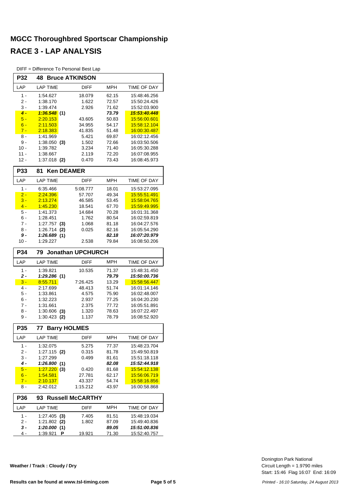DIFF = Difference To Personal Best Lap

|                | பா<br>$=$ Difference TO Fersonial Dest Lap<br><b>Bruce ATKINSON</b><br>P32<br>48 |                          |                |                              |  |  |  |  |  |  |
|----------------|----------------------------------------------------------------------------------|--------------------------|----------------|------------------------------|--|--|--|--|--|--|
|                |                                                                                  |                          |                |                              |  |  |  |  |  |  |
| LAP            | <b>LAP TIME</b>                                                                  | <b>DIFF</b>              | <b>MPH</b>     | <b>TIME OF DAY</b>           |  |  |  |  |  |  |
| $1 -$          | 1:54.627                                                                         | 18.079                   | 62.15          | 15:48:46.256                 |  |  |  |  |  |  |
| 2 -            | 1:38.170                                                                         | 1.622                    | 72.57          | 15:50:24.426                 |  |  |  |  |  |  |
| $3 -$          | 1:39.474                                                                         | 2.926                    | 71.62          | 15:52:03.900                 |  |  |  |  |  |  |
| $4 -$          | 1:36.548<br>(1)                                                                  |                          | 73.79          | 15:53:40.448                 |  |  |  |  |  |  |
| $5 -$          | 2:20.153                                                                         | 43.605                   | 50.83          | 15.56.00.601                 |  |  |  |  |  |  |
| $6 -$          | 2:11.503                                                                         | 34.955                   | 54.17          | 15:58:12.104                 |  |  |  |  |  |  |
| $7 -$<br>8 -   | 2:18.383<br>1:41.969                                                             | 41.835<br>5.421          | 51.48<br>69.87 | 16:00:30.487<br>16:02:12.456 |  |  |  |  |  |  |
| 9 -            | 1:38.050<br>(3)                                                                  | 1.502                    | 72.66          |                              |  |  |  |  |  |  |
| $10 -$         | 1:39.782                                                                         | 3.234                    | 71.40          | 16:03:50.506<br>16:05:30.288 |  |  |  |  |  |  |
| $11 -$         | 1:38.667                                                                         | 2.119                    | 72.20          | 16:07:08.955                 |  |  |  |  |  |  |
| $12 -$         | 1:37.018<br>(2)                                                                  | 0.470                    | 73.43          | 16:08:45.973                 |  |  |  |  |  |  |
| <b>P33</b>     | <b>Ken DEAMER</b><br>81                                                          |                          |                |                              |  |  |  |  |  |  |
| LAP            | <b>LAP TIME</b>                                                                  | <b>DIFF</b>              | <b>MPH</b>     | <b>TIME OF DAY</b>           |  |  |  |  |  |  |
| $1 -$          | 6.35.466                                                                         | 5:08.777                 | 18.01          | 15:53:27.095                 |  |  |  |  |  |  |
| $2 -$          | 2:24.396                                                                         | 57.707                   | 49.34          | 15.55.51.491                 |  |  |  |  |  |  |
| $3 -$          | 2:13.274                                                                         | 46.585                   | 53.45          | 15:58:04.765                 |  |  |  |  |  |  |
| $4 -$          | 1:45.230                                                                         | 18.541                   | 67.70          | 15:59:49.995                 |  |  |  |  |  |  |
| 5 -            | 1:41.373                                                                         | 14.684                   | 70.28          | 16:01:31.368                 |  |  |  |  |  |  |
| 6 -            | 1:28.451                                                                         | 1.762                    | 80.54          | 16:02:59.819                 |  |  |  |  |  |  |
| 7 -            | 1:27.757<br>(3)                                                                  | 1.068                    | 81.18          | 16:04:27.576                 |  |  |  |  |  |  |
| 8 -            | 1:26.714<br>(2)                                                                  | 0.025                    | 82.16          | 16:05:54.290                 |  |  |  |  |  |  |
| 9 -<br>$10 -$  | 1:26.689 (1)<br>1:29.227                                                         | 2.538                    | 82.18<br>79.84 | 16:07:20.979<br>16:08:50.206 |  |  |  |  |  |  |
|                |                                                                                  |                          |                |                              |  |  |  |  |  |  |
| <b>P34</b>     | 79                                                                               | <b>Jonathan UPCHURCH</b> |                |                              |  |  |  |  |  |  |
| LAP            | <b>LAP TIME</b>                                                                  | <b>DIFF</b>              | <b>MPH</b>     | TIME OF DAY                  |  |  |  |  |  |  |
| $1 -$          | 1:39.821                                                                         | 10.535                   | 71.37          | 15:48:31.450                 |  |  |  |  |  |  |
| $2 -$          | 1:29.286(1)                                                                      |                          | 79.79          | 15:50:00.736                 |  |  |  |  |  |  |
| $3 -$          | 8:55.711                                                                         | 7:26.425                 | 13.29          | 15.58.56.447                 |  |  |  |  |  |  |
| 4 -            | 2:17.699                                                                         | 48.413                   | 51.74          | 16:01:14.146                 |  |  |  |  |  |  |
| 5 -            | 1:33.861                                                                         | 4.575                    | 75.90          | 16:02:48.007                 |  |  |  |  |  |  |
| 6 -            | 1:32.223                                                                         | 2.937                    | 77.25          | 16:04:20.230                 |  |  |  |  |  |  |
| 7 -            | 1:31.661                                                                         | 2.375                    | 77.72          | 16:05:51.891                 |  |  |  |  |  |  |
| 8 -            | 1:30.606<br>(3)                                                                  | 1.320                    | 78.63          | 16:07:22.497                 |  |  |  |  |  |  |
| 9 -            | $1:30.423$ (2)                                                                   | 1.137                    | 78.79          | 16:08:52.920                 |  |  |  |  |  |  |
| P35            | <b>Barry HOLMES</b><br>77                                                        |                          |                |                              |  |  |  |  |  |  |
| LAP            | <b>LAP TIME</b>                                                                  | DIFF                     | MPH            | TIME OF DAY                  |  |  |  |  |  |  |
| 1 -            | 1:32.075                                                                         | 5.275                    | 77.37          | 15:48:23.704                 |  |  |  |  |  |  |
| 2 -            | 1:27.115 (2)                                                                     | 0.315                    | 81.78          | 15:49:50.819                 |  |  |  |  |  |  |
| 3 -            | 1:27.299                                                                         | 0.499                    | 81.61          | 15:51:18.118                 |  |  |  |  |  |  |
| 4 -            | 1:26.800<br>(1)                                                                  |                          | 82.08          | 15:52:44.918                 |  |  |  |  |  |  |
| $5 -$<br>$6 -$ | 1:27.220<br>(3)<br>1:54.581                                                      | 0.420<br>27.781          | 81.68<br>62.17 | 15:54:12.138<br>15:56:06.719 |  |  |  |  |  |  |
| $7 -$          | <u>2:10.137</u>                                                                  | 43.337                   | 54.74          | 15:58:16.856                 |  |  |  |  |  |  |
| 8 -            | 2:42.012                                                                         | 1:15.212                 | 43.97          | 16:00:58.868                 |  |  |  |  |  |  |
| P36            | 93                                                                               | <b>Russell McCARTHY</b>  |                |                              |  |  |  |  |  |  |
| LAP            | <b>LAP TIME</b>                                                                  | <b>DIFF</b>              | MPH            | TIME OF DAY                  |  |  |  |  |  |  |
|                |                                                                                  |                          |                |                              |  |  |  |  |  |  |
| $1 -$          | $1:27.405$ (3)                                                                   | 7.405                    | 81.51          | 15:48:19.034                 |  |  |  |  |  |  |
| 2 -            | $1:21.802$ (2)                                                                   | 1.802                    | 87.09          | 15:49:40.836                 |  |  |  |  |  |  |
| $3 -$          | 1:20.000 (1)                                                                     |                          | 89.05          | 15:51:00.836                 |  |  |  |  |  |  |

4 - 1:39.921 19.921 15:52:40.757 **P** 71.30

**Weather / Track : Cloudy / Dry**

Start: 15:46 Flag 16:07 End: 16:09 Circuit Length = 1.9790 miles Donington Park National